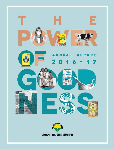













**UMANG DAIRIES LIMITED**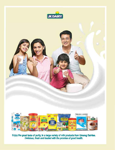

Enjoy the great taste of purity, in a large variety of milk products from Umang Dairles.<br>Delicious, fresh and loaded with the promise of good health.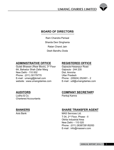

## **Board of Directors**

Ram Chandra Periwal Sharda Devi Singhania Ratan Chand Jain Desh Bandhu Doda

## **administrative office Registered Office**

Gulab Bhawan (Rear Block), 3rd Floor Gajraula-Hasanpur Road 6A, Bahadur Shah Zafar Marg Gajraula - 244 235 New Delhi - 110 002 Dist. Amroha Phone : (011) 30179770 Uttar Pradesh E-mail : umang@jkmail.com Phone : (05924) 252491 - 2 website : www.umangdairies.com

Lodha & Co. **Pankaj Kamra** Chartered Accountants

## **Auditors Company Secretary**

## **Bankers Share Transfer Agent**

Axis Bank MAS Services Ltd. T-34, 2nd Floor, Phase - II Okhla Industrial Area New Delhi – 110 020 Phone : (011) 26387281/82/83 E-mail : info@masserv.com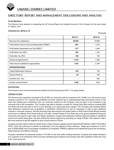

## **Directors' report and management discussions and analysis**

#### **To the Members,**

The Directors have pleasure in presenting the 24<sup>th</sup> Annual Report and Audited Accounts of the Company for the year ended 31st March, 2017.

#### **Financial Results**

**(**` **in Lac)**

|                                                     | 2016-17 | 2015-16 |
|-----------------------------------------------------|---------|---------|
| Revenue from Operations                             | 20,995  | 18,898  |
| Profit before Finance Cost and Depreciation (PBIDT) | 687     | 1,516   |
| Profit before Depreciation and Tax (PBDT)           | 571     | 1,454   |
| Profit before Tax (PBT)                             | 255     | 1,152   |
| Profit after Tax (PAT)                              | 169     | 750     |
| Surplus brought forward                             | 1,533   | 1,448   |
| Total amount available for appropriation            | 1,702   | 2,198   |
| <b>APPROPRIATIONS:</b>                              |         |         |
| <b>Capital Redemption Reserve</b>                   | 108     | 100     |
| <b>General Reserve</b>                              | 45      | 300     |
| Dividend (Incl. Tax)                                |         | 265     |
| Surplus carried forward                             | 1,549   | 1533    |

#### **DIVIDEND**

The Directors have not recommended any dividend for the financial year 2016-17 on equity shares.

#### **OPERATIONS**

The Revenue from operations increased to Rs 20,995 Lac during the year as compared to Rs 18,898 Lac in the previous year, clocking a growth of 11%, however the profitability has been impacted due to unprecedented high procurement prices of milk which has subdued the contributions from our consumer products as the Company could not pass on the increases to the consumer due to stiff competition. The Company was able to develop a market for Umang Dairy Bulk products including SMP and Ghee and were also able to sell at a price allowing us to make good gross margins. The Company kept investing behind retail distribution expansion and up-gradation of distribution infrastructure as well as manpower to help us gain significant volumes in consumer products. We also launched three new products and tested waters in North East & North Bengal markets to fine tune our offering. All the three products, UHT Milk, Canned Paneer & Cow Ghee had a very good acceptance among the consumers and expect to gain wider and deeper distribution coupled with awareness building measures leading to significant volume and market share gains. We also entered the Horeca segment by launching our range of Butter. We propose to add a few more products to get this segment to give us good returns in future.

Company has been able to retain its market share in Dairy Creamer segment with its brands WHITE MAGIK, DAIRY TOP & MILK STAR. Dairy Top continues to maintain its leadership in the mid segment of dairy creamers. Single serve sachets of 3 and 5 gms of White Magik have found greater acceptance by Hospitality, HORECA segment and Institutional buyers like Jet Airways, Indian Railways and Defence Services.

Company maintained its leadership position in Pre-Mix for tea and coffee vending machines. Company also added Hershey's as a customer to its institutional clients and also maintained good relations and business with other significant clients like Coca Cola, Future group etc.

#### 2 **Annual Report 2016-17**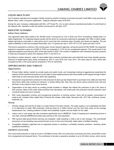#### **Liquid Milk Plant**

Your Company operates and manages a facility owned by another Company to process and pack Liquid Milk in poly pouches for Mother Dairy, under a long term agreement. Capacity utilization stays at 90.02%.

During the year, Company collaborated with M/s. LVP Foods Pvt. Ltd. to start contract manufacturing facility of curd/chhach at the Gajraula site. Operation under this facility commenced on 5th April, 2017.

#### **INDUSTRY SCENARIO**

#### **Indian Dairy Industry**

The organised Indian dairy market is Rs. 99,000 crores. It has grown by 13% in 2016 over 2015. According to reliable data, it is highly fragmented. For organised players growth will be driven by consumers switching to packaged milk. Milk is India's singlelargest agricultural commodity in value terms and is more than the combined value of paddy and wheat put together. The per capita availability of milk has increased three-folds, from 112 grams per day in 1970-1971 to 337 grams per day in 2016.

This trend is expected to continue in the coming years. As per research agencies, during the period 2015E-2020E, the organised segment is expected to grow at a CAGR of 19.6% as compared to 13.3% for the unorganised segment. This would result in the organised segment accounting for 26% of the total market in 2020. The number of registered units manufacturing dairy products in India has increased by about 23% between 2010-11 and 2014-15.

According to market research, sales of value-added dairy products including lassi and buttermilk have been steadily growing. Volumes of health-based dairy drinks increased by 30% in June 2016 over June 2014. The store base for dairy drinks also increased by 60% in the same period compared to 10% for soft drinks.

#### **OPPORTUNITIES AND THREATS**

#### **Opportunities**

- i. Private Indian dairies, backed by private equity and public funds, are increasingly looking at aggressively expanding the network of their small format parlours to push sales of value added products that ensure better profit margins through modern retail trade as mom-and-pop stores seem less appealing.
- ii. Introduction of government schemes for milk producers & start-ups has helped them to purchase more cattle and start their dairy farms rather than working for someone, or simply selling milk. Now, they can derive various products from milk and sell them in the market to earn more revenue.
- iii. Organisation of the dairy sector by creating private societies in villages has helped the producers to get a fair value of their produce. Many of the unfair trade practices have decreased, and small-scale milk producers whose production went unnoticed earlier are now in records.
- iv. With rising disposable incomes and bourgeoning proportion of working women, there will be greater consumption of ready-to-eat, branded Value added Dairy Products like cheese, table butter, flavoured milk, UHT milk, shrikhand, paneer, buttermilk, etc.

#### **Threats**

- i. Climate change and scarcity of water is a major threat to the dairy industry. The water supply is not sustainable and there is no alternative to water. Milk production could go down by 3 million tonnes over the next three years as the average temperatures rise, creating problems of water and availability of green and dry fodder for the cattle.
- ii. Labour cost in rural areas has also increased significantly due to MNREGA. Costs of keeping and maintaining bovine is very high, whereas MNREGA provides easy earning to the rural population.
- iii. With several state governments banning cow slaughter, cattle breeding in India is set to see changes. The cost-benefit economics of cow breeding may prompt farmers to turn to the more financially viable option of buffalo breeding.
- iv. Competition between organised and un-organised sectors is resulting in unhealthy business practices / lowering values (quality/service/ethics).

#### **GROWTH OUTLOOK**

The current milk production in India as of now is 150 Million tonnes, 90% of it comes from rural areas and of this, almost 80% comes from unorganised and backyard farms. The contribution of private co-operative societies is up to 28 million tonnes, which serves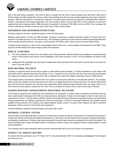20% of the total Indian population. This trend is likely to change with the influx of serious players who start with a herd size of 50-60 animals and after setting their house in order, they graduate and add up more animals depending upon their investment prowess. With the introduction of commercial measures to increase dairy production promptly like Automated Milk Collection System, computerised milk testing equipments, the next decade is likely to see at least 40% of milk production coming from organized and semi-organised farms. Milk production is expected to increase to 180 million tonnes by 2022. On an average, this will be a rate hike by 6 million tonnes per year, which was 3 million tonnes earlier.

### **EXPANSION AND MODERNIZATION PLANS**

Company wishes to become a significant player in Dairy & Foods space.

Besides modernization of Plant and R&D facilities, Company is planning to expand production facility of Drying Plant from present 4.5 lac litres per day to 5.5 lac litres per day. The Company is planning to invest resources behind expanding distribution of the recently launched products, cow ghee, canned paneer, UHT Milk to gain critical volumes and gain Market Share.

Company is also working on a slew of new value added products which are in various stages of development at the R&D. These products will also improve the gross margin profile of the company.

#### **RISKS & CONCERNS**

- (i) The milk availability has been low in the captive area of Umang dairies collection belt this year leading to exceptionally high prices of milk putting undue stress on the profitability. If this trend continues in 2017-18 the profitability will remain under stress.
- (ii) Inadequate milk availability may also lead to unaddressed market demand which may lead to revenue loss as has been the case in the year 2016-17.

#### **RAW MATERIAL SECURITY**

Company is sanguine about the fact that to sustain a value added product portfolio, it is highly imperative to have captive milk bank where milk is collected direct from the farmers. As it is, Company is one of the few ones who have more than two decades old village level collection system under which milk is collected from nearly 500 villages comprising of about 18000 farmers.

The company plans to increase its collection from VLC system to increase its contribution to the total milk collection. The company plans to start new collection centres and reach out to more no of villages & farmers to achieve the same. The activity will start this year and may end by next year June. We also have empanelled highly reliable and big contractors who can supply milk to us on short notice and their quality is as good as VLC milk. This is to address the need of milk in case of any surge in demand.

#### **HUMAN RESOURCE MANAGEMENT/ INDUSTRIAL RELATIONS**

The Company recognizes the contribution and importance of its employees in today's highly competitive environment and has been systematically developing their skills and empowering its employees. People are encouraged to take on new roles and expand their horizons. Training needs at different levels are identified through Performance Appraisal System and need based training programmes are regularly organized for all level of employees. In order to encourage leadership and problem solving qualities among workmen, the Company has helped establish Quality Circles. A number of job rotations are done to enhance employees' skills as well as to enrich their work experience.

Industrial Relations remained cordial throughout the year under review.

#### **INTERNAL CONTROL SYSTEM**

Internal audit by corporate audit team consisting of Chartered Accountants as well as an external firm of Chartered Accountants is in place and carries out their job at predetermined frequency. Their task is to audit internal control systems, financial transactions and statutory compliances. Findings/ audit reports along with the action taken reports are reviewed by the Audit Committee. The Audit Committee also reviews the effectiveness of Company's internal controls and regularly monitors implementation of audit recommendations.

The Company has in place adequate internal controls commensurate with the size and nature of its operations.

#### **EXTRACT OF ANNUAL RETURN**

An extract of the Annual Return as on 31st March 2017 in the prescribed form MGT -9 is attached as **Annexure-1** to this Report and forms part of it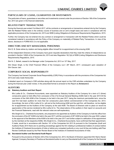#### **PARTICULARS OF LOANS, GUARANTEES OR INVESTMENTS**

The particulars of loans, guarantees or securities and investments covered under the provisions of Section 186 of the Companies Act, 2013 are given in the financial statements.

#### **RELATED PARTY TRANSACTIONS**

During the financial year ended 31st March 2017, all the contracts or arrangements or transactions entered into by the Company with the Related Parties were in the ordinary course of business and on arm's length basis and were in compliance with the applicable provisions of the Companies Act, 2013 and SEBI (Listing Obligations & Disclosure Requirements) Regulations, 2015.

Further, the Company has not entered into any contract or arrangement or transaction with the Related Parties which could be considered material in accordance with the Policy of the Company on materiality of Related Party Transactions. In view of the above, disclosure in FORM AOC-2 is not applicable.

#### **DIRECTORS AND KEY MANAGERIAL PERSONNEL**

Shri D. B. Doda retires by rotation and being eligible offers himself for re-appointment at the ensuing AGM.

All the Independent Directors of the Company have given requisite declarations that they meet the criteria of independence as provided in Section 149(6) of the Companies Act, 2013 and also Regulation 16(1)(b) of SEBI (Listing Obligations and Disclosure Requirements) Regulations, 2015.

Shri N. C. Baheti, ceased to be Manager under Companies Act, 2013 on 10<sup>th</sup> May, 2017.

Shri Diwan Singh, is the Chief Financial Officer of the Company w.e.f. 28<sup>th</sup> March, 2017, consequent upon cessation of Shri Gaurav Jain.

#### **CORPORATE SOCIAL RESPONSIBILITY**

The Company has framed Corporate Social Responsibility (CSR) Policy in accordance with the provisions of the Companies Act 2013 and rules made thereunder.

A detailed report on Company's CSR activities along with the annual report on the CSR activities undertaken by the Company during the financial year under review, in the prescribed format is annexed to this Report as **Annexure-2.**

#### **AUDITORS**

#### **(a) Statutory Auditors and their Report**

M/s Lodha & Co., Chartered Accountants, were appointed as Statutory Auditors of the Company for a term of 3 (three) consecutive years to hold office from conclusion of the 21st Annual General Meeting (AGM) held in the year 2014 till the conclusion of the 24th AGM of the Company to be held in the year 2017, being the maximum permissible term, since the said firm had been auditors for more than ten consecutive years before commencement of the Companies Act, 2013. Accordingly, the term of M/s Lodha & Co. will end at the forthcoming AGM and the said firm, will therefore, not be eligible for re-appointment as the Auditors of the Company at the said AGM. The Board of Directors wish to place on record its appreciation of the service rendered by M/s Lodha & Co. The observations of the auditors in their report on accounts and the Financial Statements, read with the relevant notes are self-explanatory.

M/s Singhi & Co., Chartered Accountants, are proposed to be appointed as Auditors of the Company to hold the office from the conclusion of the 24<sup>th</sup> AGM to be held in the year 2017 until the conclusion of 29<sup>th</sup> AGM to be held in the year 2022, subject to the approval of the Members at the AGM to be held in the year 2017 and further subject to ratification of the appointment by the members at the respective AGMs. M/s Singhi & Co., Chartered Accountants, have confirmed that their appointment, if made, would be in accordance with Section 141 of the Companies Act 2013 & pursuant to the Companies (Audit and Auditors) Rules 2014 there are no pending proceedings against the firm relating to professional matters of conduct before the Institute of Chartered Accountants of India or before any competent authority or any court & they are holding valid Peer Review Certificate issued by the Peer Review Board of the Institute of Chartered Accountants of India.

#### **(b) Secretarial Auditor and Secretarial Audit Report**

Pursuant to the provisions of Section 204 of the Companies Act, 2013, the Board of Directors appointed Shri Namo Narain Agarwal, Company Secretary in Practice as Secretarial Auditor to carry out Secretarial Audit of the Company for the financial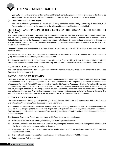year 2016-17. The Report given by him for the said financial year in the prescribed format is annexed to this Report as **Annexure-3**. The Secretarial Audit Report does not contain any qualification, reservation or adverse remark.

#### **(c) Cost Auditor and Cost Audit Report**

The Cost audit for the year ended 31<sup>st</sup> March 2017 is being conducted by M/s Sanjay Kumar Garg & Associates, Cost Accountants and the report will be submitted to the Ministry of Corporate Affairs, Government of India.

#### **SIGNIFICANT AND MATERIAL ORDERS PASSED BY THE REGULATORS OR COURTS OR TRIBUNALS**

The Company was forced to temporarily shut down its plant at Gajraula w.e.f. 28th April, 2017 since the Hon'ble National Green Tribunal ("NGT"), after inspection (though Umang Dairies was not inspected at that time), ordered closure of certain units of Gajraula including that of the Company, for suspected disposal of effluents, till proper effluent treatment and disposal was ensured. Upon submission, NGT later passed an order permitting the operations at our plant at Gajraula which were resumed thereat w.e.f. 16th May 2017.

Umang Dairies Gajraula is equipped with a state-of-the-art effluent treatment plan with RO and has a "zero liquid discharge" operation status.

There were no other significant and material orders passed by the Regulators or Courts or Tribunals which would impact the going concern status of the Company and its future operations.

The Company is environmentally conscious and operates its plant in Gajraula (U.P.), with zero discharge and is in compliance with all applicable environmental norms and laws including previous consents from NGT and State Pollution Control Board.

#### **CONSERVATION OF ENERGY ETC.**

The details as required under Section 134(3)(m) read with the Companies (Accounts) Rules, 2014 is annexed to this Report as **Annexure-4** and forms part of it.

#### **PARTICULARS OF REMUNERATION**

Disclosure of the ratio of the remuneration of each director to the median employee's remuneration and other requisite details pursuant to Section 197 (12) of the Companies Act, 2013 read with Rule 5 (1) of the Companies (Appointment and Remuneration of Managerial Personnel) Rules, 2014, as amended, is annexed to this Report as **Annexure-5**. Further, Particulars of Employees pursuant to Rule 5(2) & (3) of the above Rules, form part of this Report, However, in terms of provisions of Section 136 of the said Act, the Report and Accounts are being sent to all the members of the Company and others entitled thereto, excluding the said particulars of employees. Any member interested in obtaining such particulars may write to the Company Secretary. The said information is available for inspection at the Registered Office of the Company during working hours.

#### **CORPORATE GOVERNANCE**

Corporate Governance - including details pertaining to Board Meetings, Nomination and Remuneration Policy, Performance Evaluation, Risk Management, Audit Committee and Vigil Mechanism:

Your Company reaffirms its commitment to the highest standards of corporate governance practices. Pursuant to Regulation 34 (3) of the SEBI (Listing Obligations and Disclosure Requirements) Regulations, 2015, a Management Discussion and Analysis, Corporate Governance Report and Auditors Certificate regarding compliance of conditions of Corporate Governance are made a part of this Report.

The Corporate Governance Report which forms part of this Report, also covers the following:

- a) Particulars of the Four Board Meetings held during the financial year under review.
- b) Policy on Nomination and Remuneration of Directors, Key Managerial Personnel and Senior Management including, inter alia, the criteria for performance evaluation of Directors.
- c) The manner in which formal annual evaluation has been made by the Board of its own performance and that of its Committees and individual Directors.
- d) The details with respect to composition of Audit Committee and establishment of Vigil Mechanism.
- e) Details regarding Risk Management.

#### 6 **Annual Report 2016-17**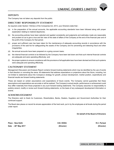### **DEPOSITS**

The Company has not taken any deposits from the public.

#### **DIRECTORS' RESPONSIBILITY STATEMENT**

As required under Section 134(3)(c) of the Companies Act, 2013, your Directors state that:-

- (a) in the preparation of the annual accounts, the applicable accounting standards have been followed along with proper explanation relating to material departures;
- (b) the accounting policies have been selected and applied consistently and judgments and estimates made are reasonable and prudent so as to give a true and fair view of the state of affairs of the Company at the end of the financial year and of the profit of the Company for that period;
- (c) proper and sufficient care has been taken for the maintenance of adequate accounting records in accordance with the provisions of the said Act for safeguarding the assets of the Company and for preventing and detecting fraud and other irregularities;
- (d) the annual accounts have been prepared on a going concern basis;
- (e) the internal financial controls to be followed by the Company have been laid down and that such internal financial controls are adequate and were operating effectively; and
- (f) the proper systems to ensure compliance with the provisions of all applicable laws have been devised and that such systems were adequate and operating effectively.

#### **CAUTIONARY STATEMENT**

Management Discussion and Analysis Report contains forward looking statements which may be identified by the use of words in that direction or connoting the same. All statements that address expectations or projections about the future, including, but not limited to statements about the Company's strategy for growth, product development, market position, expenditures and financial results are forward looking statements.

These are based on certain assumptions and expectations of future events. The Company cannot guarantee that these assumptions and expectations are accurate or will be realized. The Company's actual results, performance or achievement could thus differ materially from those projected in any such forward looking statements. The Company assumes no responsibility to publicly amend, modify or revise such forward looking statements, on the basis of any subsequent development information or events.

#### **ACKNOWLEDGEMENT**

The Directors wish to thank its Customers, Shareholders, Banks, Dealers, Suppliers and Government Authorities for their continued support.

The Board also places on record its sincere appreciation of the hard work, put in by the employees at all levels during the period under report.

**On behalf of the Board of Directors**

**Place** : New Delhi **D.B. DODA R.C. Periwal Date : 26th May 2017 (Director) (Director)**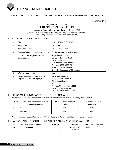

#### **ANNEXURES TO THE DIRECTORS' REPORT FOR THE YEAR ENDED 31ST MARCH 2017**

**ANNEXURE-1**

#### **FORM NO. MGT 9 EXTRACT OF ANNUAL RETURN**

**As on the financial year ended on 31st March 2017** *[Pursuant to Section 92 (3) of the Companies Act, 2013 and rule 12(1) of the* 

*Companies (Management & Administration) Rules, 2014]*

#### **I. REGISTRATION & OTHER DETAILS:**

| $\mathbf{1}$ . | <b>CIN</b>                                                                  | L15111UP1992PLC014942                                                                                                                                                                                           |
|----------------|-----------------------------------------------------------------------------|-----------------------------------------------------------------------------------------------------------------------------------------------------------------------------------------------------------------|
| 2.             | <b>Registration Date</b>                                                    | 02.12.1992                                                                                                                                                                                                      |
| 3.             | Name of the Company                                                         | <b>Umang Dairies Limited</b>                                                                                                                                                                                    |
| 4.             | Category/Sub-category of the Company                                        | Public Company/Limited by Shares                                                                                                                                                                                |
| 5.             | Address of the Registered office &<br>contact details                       | Registered office :-<br>Gajraula, Hasanpur Road<br>Gajraula -244235<br>Dist. Amroha, Uttar Pradesh<br>Ph. No.: (05924) 252491-2<br>Fax No.: (05924) 252495<br>Email ID:-sharesumang@jkmail.com                  |
| 6.             | Whether listed company                                                      | Yes                                                                                                                                                                                                             |
| 7.             | Name, Address & contact details of<br>Registrar and Transfer Agent, if any. | <b>MAS Services Limited</b><br>T-34, 2 <sup>nd</sup> Floor, Phase- II<br>Okhla Industrial Area<br>New Delhi - 110 020<br>Ph. No.: (011) 26387281/82/83<br>Fax No.: (011) 26387384<br>Email ID: info@masserv.com |

#### **II. PRINCIPAL BUSINESS ACTIVITIES OF THE COMPANY**

All the business activities contributing 10 % or more of the total turnover of the company shall be stated:

| SI. No.        | Name and Description of main<br>products / services | NIC Code of the Product/<br>service* | % to total turnover of the<br>company |
|----------------|-----------------------------------------------------|--------------------------------------|---------------------------------------|
|                | Ghee                                                | 10504                                | 32.62                                 |
| $\overline{2}$ | Milk powder                                         | 10502                                | 62.42                                 |

*\* As per National Industrial Classification (2008) – Ministry of Statistics and Programme Implementation.*

#### **III. PARTICULARS OF HOLDING, SUBSIDIARY AND ASSOCIATE COMPANIES**

| SI.<br>No. | Name and Address of the<br>Company | <b>CIN/GLN</b> | Holding/<br>Subsidiary/<br><b>Associate</b> | % of Shares<br>held | Applicable<br><b>Section</b> |
|------------|------------------------------------|----------------|---------------------------------------------|---------------------|------------------------------|
|            |                                    | <b>NIL</b>     |                                             |                     |                              |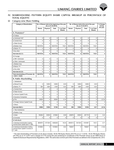

#### **IV. SHAREHOLDING PATTERN (Equity Share Capital Breakup as percentage of TOTAL EQUITY)**

#### **(i) Category-wise Share Holding**

| <b>Category of Shareholders</b>                                                       |             |             | (As on 01.04.2016) | No. of Shares held at the beginning of the year | No. of Shares held at the end of the year<br>(As on 31.03.2017) |             |             | % Change<br>during          |                     |
|---------------------------------------------------------------------------------------|-------------|-------------|--------------------|-------------------------------------------------|-----------------------------------------------------------------|-------------|-------------|-----------------------------|---------------------|
|                                                                                       | Demat       | Physical    | Total              | % of Total<br><b>Shares</b>                     | Demat                                                           | Physical    | Total       | % of Total<br><b>Shares</b> | the year            |
| A. Promoters*                                                                         |             |             |                    |                                                 |                                                                 |             |             |                             |                     |
| $(1)$ Indian                                                                          |             |             |                    |                                                 |                                                                 |             |             |                             |                     |
| a) Individual/ HUF                                                                    | $\pmb{0}$   | 0           | 0                  | $\mathbf 0$                                     | $\pmb{0}$                                                       | $\pmb{0}$   | 0           | 0                           | $\pmb{0}$           |
| b) Central Govt                                                                       | $\pmb{0}$   | 0           | 0                  | $\pmb{0}$                                       | $\pmb{0}$                                                       | $\pmb{0}$   | 0           | 0                           | $\mathsf 0$         |
| c) State Govt(s)                                                                      | $\mathbf 0$ | 0           | $\mathbf 0$        | $\mathbf 0$                                     | $\mathbf 0$                                                     | $\mathbf 0$ | 0           | 0                           | $\mathbf 0$         |
| d) Bodies Corp.                                                                       | 16415734    | 0           | 16415734           | 74.61                                           | 16415734                                                        | $\mathbf 0$ | 16415734    | 74.61                       | $\mathsf 0$         |
| e) Banks / Fl                                                                         | 0           | 0           | $\mathbf 0$        | $\mathbf 0$                                     | $\mathbf 0$                                                     | $\mathbf 0$ | 0           | 0                           | $\mathbf 0$         |
| f) Any other                                                                          | 0           | 0           | 0                  | $\mathbf 0$                                     | 0                                                               | $\mathbf 0$ | 0           | 0                           | 0                   |
| Sub-total (A) (1):-                                                                   | 16415734    | 0           | 16415734           | 74.61                                           | 16415734                                                        | $\mathbf 0$ | 16415734    | 74.61                       | 0                   |
| (2) Foreign                                                                           |             |             |                    |                                                 |                                                                 |             |             |                             |                     |
| a) NRI -Individuals                                                                   | $\pmb{0}$   | $\pmb{0}$   | $\pmb{0}$          | $\pmb{0}$                                       | $\pmb{0}$                                                       | $\pmb{0}$   | $\pmb{0}$   | 0                           | $\pmb{0}$           |
| b) Other -Individuals                                                                 | $\pmb{0}$   | 0           | 0                  | $\pmb{0}$                                       | $\pmb{0}$                                                       | $\pmb{0}$   | 0           | 0                           | $\mathsf 0$         |
| c) Bodies Corp.                                                                       | $\pmb{0}$   | 0           | $\mathbf 0$        | $\mathbf 0$                                     | $\mathbf 0$                                                     | $\mathbf 0$ | 0           | $\mathbf 0$                 | $\mathbf 0$         |
| d) Banks / Fl                                                                         | $\mathsf 0$ | 0           | $\mathbf 0$        | $\mathbf 0$                                     | $\mathbf 0$                                                     | $\mathbf 0$ | 0           | $\mathbf 0$                 | $\mathbf 0$         |
| e) Any other                                                                          | $\mathbf 0$ | 0           | $\mathbf 0$        | $\mathbf 0$                                     | 0                                                               | $\mathbf 0$ | 0           | 0                           | $\mathbf 0$         |
| Sub-total (A) (2):-                                                                   | $\mathbf 0$ | 0           | $\mathbf 0$        | $\mathbf 0$                                     | 0                                                               | $\mathbf 0$ | 0           | 0                           | 0                   |
| Total shareholding of Promoter (A)<br>$= (A)(1) + (A)(2)$                             | 16415734    | 0           | 16415734           | 74.61                                           | 16415734                                                        | 0           | 16415734    | 74.61                       | 0                   |
| <b>B. Public Shareholding</b>                                                         |             |             |                    |                                                 |                                                                 |             |             |                             |                     |
| 1. Institutions                                                                       |             |             |                    |                                                 |                                                                 |             |             |                             |                     |
| a) Mutual Funds                                                                       | 0           | 12000       | 12000              | 0.05                                            | $\mathbf 0$                                                     | 12000       | 12000       | 0.05                        | $\mathsf 0$         |
| b) Banks / Fl                                                                         | 800         | 3300        | 4100               | 0.02                                            | 800                                                             | 3300        | 4100        | 0.02                        | $\mathsf 0$         |
| c) Central Govt                                                                       | $\pmb{0}$   | 0           | $\pmb{0}$          | $\pmb{0}$                                       | $\pmb{0}$                                                       | $\pmb{0}$   | 0           | 0                           | $\mathsf{O}\xspace$ |
| d) State Govt(s)                                                                      | 0           | 0           | $\mathbf 0$        | $\mathbf 0$                                     | $\mathbf 0$                                                     | $\mathbf 0$ | 0           | 0                           | $\mathsf 0$         |
| e) Venture Capital Funds                                                              | 0           | 0           | $\mathbf 0$        | $\mathbf 0$                                     | $\pmb{0}$                                                       | $\mathbf 0$ | 0           | 0                           | 0                   |
| f) Insurance Companies                                                                | 0           | 0           | 0                  | $\mathbf 0$                                     | $\mathbf 0$                                                     | $\pmb{0}$   | 0           | 0                           | $\mathbf 0$         |
| g) Fils                                                                               | 35000       | 0           | 35000              | 0.16                                            | $\pmb{0}$                                                       | $\mathbf 0$ | 0           | 0                           | (0.16)              |
| h) Foreign Venture Capital Funds                                                      | $\pmb{0}$   | $\mathbf 0$ | 0                  | $\mathbf 0$                                     | $\pmb{0}$                                                       | $\pmb{0}$   | $\mathbf 0$ | $\mathbf 0$                 | $\mathbf 0$         |
| i) Others                                                                             | $\pmb{0}$   | 0           | 0                  | $\pmb{0}$                                       | $\pmb{0}$                                                       | $\pmb{0}$   | 0           | 0                           | 0                   |
| Sub-total (B)(1):-                                                                    | 35800       | 15300       | 51100              | 0.23                                            | 800                                                             | 15300       | 16100       | 0.07                        | (0.16)              |
| 2. Non-Institutions                                                                   |             |             |                    |                                                 |                                                                 |             |             |                             |                     |
| a) Bodies Corp.                                                                       |             |             |                    |                                                 |                                                                 |             |             |                             |                     |
| i) Indian                                                                             | 185282      | 30300       | 215582             | 0.98                                            | 236876                                                          | 30300       | 267176      | 1.21                        | 0.23                |
| ii) Overseas                                                                          | 0           | 0           | 0                  | $\mathbf 0$                                     | $\pmb{0}$                                                       | $\mathbf 0$ | 0           | 0                           | $\mathbf 0$         |
| b) Individuals                                                                        |             |             |                    |                                                 |                                                                 |             |             |                             |                     |
| i) Individual shareholders holding<br>nominal share capital upto ₹1 lakh              | 2654974     | 1371254     | 4026228            | 18.30                                           | 2840513                                                         | 1341344     | 4181857     | 19.01                       | 0.71                |
| ii) Individual shareholders holding<br>nominal share capital in excess of<br>₹ 1 lakh | 1016904     | 0           | 1016904            | 4.62                                            | 792647                                                          | 0           | 792647      | 3.60                        | (1.02)              |

*\* The total shareholding of Promoters at (A) above includes 64,92,769 Equity Shares (29.51%) as on 1.4.2016, 54,42,769 Equity Shares (24.74%) as on 31.3.2017 and a change of 4.77% during the year pertaining to constituents of the Promoter Group as per SEBI (Issue of Capital & Disclosure Requirements) Regulations, 2009. The same does not form part of the Promoters as defined in the Companies Act, 2013.*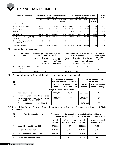

| <b>Category of Shareholders</b>                           | No. of Shares held at the beginning of the year<br>(As on 01.04.2016) |                                                           | No. of Shares held at the end of the year<br>(As on 31.03.2017) |          |          |                             | % Change<br>during |       |      |
|-----------------------------------------------------------|-----------------------------------------------------------------------|-----------------------------------------------------------|-----------------------------------------------------------------|----------|----------|-----------------------------|--------------------|-------|------|
|                                                           | Demat                                                                 | Physical<br>Total<br>% of Total<br>Demat<br><b>Shares</b> |                                                                 | Physical | Total    | % of Total<br><b>Shares</b> | the year           |       |      |
| c) Others (specify)                                       |                                                                       |                                                           |                                                                 |          |          |                             |                    |       |      |
| (i) Non Resident Indians/OCB                              | 80180                                                                 | $\Omega$                                                  | 80180                                                           | 0.36     | 105952   | $\Omega$                    | 105952             | 0.48  | 0.12 |
| (ii) Clearing Member                                      | 197472                                                                | $\Omega$                                                  | 197472                                                          | 0.90     | 223234   | $\Omega$                    | 223234             | 1.01  | 0.12 |
| (iii) Trust                                               | 0                                                                     | $\Omega$                                                  | $\Omega$                                                        | $\Omega$ | 500      | 0                           | 500                | 0.00  | 0.00 |
| Sub-total $(B)(2)$ :-                                     | 4134812                                                               | 1401554                                                   | 5536366                                                         | 25.16    | 4199722  | 1371644                     | 5571366            | 25.32 | 0.16 |
| Total Public Shareholding (B)=(B)<br>$(1)+(B)(2)$         | 4170612                                                               | 1416854                                                   | 5587466                                                         | 25.39    | 4200522  | 1386944                     | 5587466            | 25.39 | 0.00 |
| C. Shares held by Custodian for<br><b>GDRs &amp; ADRs</b> | 0                                                                     | 0                                                         | $\mathbf{0}$                                                    | 0        | 0        | 0                           | 0                  | 0     | 0.00 |
| Grand Total (A+B+C)                                       | 20586346                                                              | 1416854                                                   | 22003200                                                        | 100      | 20616256 | 1386944                     | 22003200           | 100   | 0.00 |

#### **(ii) Shareholding of Promoters**

| SI.<br>No. | Shareholder's<br>Name          |                         | Shareholding at the beginning of the<br>year (as on 1 <sup>st</sup> April 2016) |                                                           | Shareholding at the end of the year (as<br>on 31 <sup>st</sup> March 2017) |                                                  |                                                           | % change in<br>shareholding |
|------------|--------------------------------|-------------------------|---------------------------------------------------------------------------------|-----------------------------------------------------------|----------------------------------------------------------------------------|--------------------------------------------------|-----------------------------------------------------------|-----------------------------|
|            |                                | No. of<br><b>Shares</b> | % of total<br><b>Shares</b><br>of the<br>company                                | % of Shares<br>Pledged /<br>encumbered<br>to total shares | No. of<br><b>Shares</b>                                                    | % of total<br><b>Shares</b><br>of the<br>company | % of Shares<br>Pledged /<br>encumbered to<br>total shares | during the<br>year          |
|            | Bengal & Assam<br>Company Ltd. | 99.22.965               | 45.10                                                                           |                                                           | 1.09.72.965                                                                | 49.87                                            |                                                           | 4.77                        |
|            | <b>Total</b>                   | 99,22,965               | 45.10                                                                           |                                                           | 1,09,72,965                                                                | 49.87                                            |                                                           |                             |

#### **(iii) Change in Promoters' Shareholding (please specify, if there is no change)**

| SI.         |                                                                                                                   |                  | Shareholding at the beginning<br>of the year (as on 1 <sup>st</sup> April 2016) |                  | <b>Cumulative Shareholding</b><br>during the year |  |  |
|-------------|-------------------------------------------------------------------------------------------------------------------|------------------|---------------------------------------------------------------------------------|------------------|---------------------------------------------------|--|--|
| No.         |                                                                                                                   | No. of<br>shares | % of total shares<br>of the company                                             | No. of<br>shares | % of total shares<br>of the company               |  |  |
|             | Bengal & Assam Company Ltd.                                                                                       |                  |                                                                                 |                  |                                                   |  |  |
|             | At the beginning of the year                                                                                      | 99,22,965        | 45.10                                                                           | 99.22.965        | 45.10                                             |  |  |
| $\mathbf 1$ | Increase in Shareholding due to Inter-se<br>transfer among promoter and promoters<br>group on 20th February 2017. | 10,50,000        | 4.77                                                                            | 1,09,72,965      | 49.87                                             |  |  |
|             | At the end of the year i.e., 31.03.2017                                                                           |                  |                                                                                 | 1,09,72,965      | 49.87                                             |  |  |

#### **(iv) Shareholding Pattern of top ten Shareholders (Other than Directors, Promoters and Holders of GDRs and ADRs)**

| SI.<br>No.     | <b>Top Ten Shareholders</b>        | Shareholding at the beginning<br>of the year (1 <sup>st</sup> April 2016) |       | <b>Cumulative Shareholding at the</b><br>end of the year (31 <sup>st</sup> March 2017) |                                     |
|----------------|------------------------------------|---------------------------------------------------------------------------|-------|----------------------------------------------------------------------------------------|-------------------------------------|
|                |                                    | % of total shares<br>No. of<br>of the company<br>shares                   |       | No. of<br>shares                                                                       | % of total shares of<br>the company |
| $\mathbf{1}$ . | Juggilal Kamlapat Udyog Ltd*       | 2700000                                                                   | 12.27 | 3850000                                                                                | 17.50                               |
| 2.             | Florence Investech Ltd             | 1194965                                                                   | 5.43  | 1194965                                                                                | 5.43                                |
| 3.             | Accurate Finman Services Limited** | 2597804                                                                   | 11.81 | 397804                                                                                 | 1.81                                |
| 4.             | Indianivesh Securities Limited     |                                                                           |       | 105374                                                                                 | 0.48                                |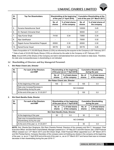

| SI.<br>No. | <b>Top Ten Shareholders</b>       | Shareholding at the beginning<br>of the year (1 <sup>st</sup> April 2016) |                                     | <b>Cumulative Shareholding at the</b><br>end of the year (31 <sup>st</sup> March 2017) |                                     |  |
|------------|-----------------------------------|---------------------------------------------------------------------------|-------------------------------------|----------------------------------------------------------------------------------------|-------------------------------------|--|
|            |                                   | No. of<br>shares                                                          | % of total shares<br>of the company | No. of<br>shares                                                                       | % of total shares of<br>the company |  |
| 5.         | Sunaina Nareshkumar Saraf         |                                                                           |                                     | 100000                                                                                 | 0.45                                |  |
| 6.         | Dr. Ramesh Chimanial Shah         |                                                                           |                                     | 90000                                                                                  | 0.41                                |  |
| 7.         | Vijay Kumar Singh                 | 74100                                                                     | 0.34                                | 73950                                                                                  | 0.34                                |  |
| 8.         | Ajay Upadhyaya                    |                                                                           |                                     | 70000                                                                                  | 0.32                                |  |
| 9.         | Rajesh Kumar Rameshbhai Prajapati | 65500                                                                     | 0.30                                | 65500                                                                                  | 0.30                                |  |
| 10.        | Kamal Kumar Goyal                 | 58178                                                                     | 0.26                                | 58178                                                                                  | 0.26                                |  |

*\* Date of acquisition of 11,50,000 Equity Shares (5.23%) as informed by the acquirer to the Company is 20th February 2017. \*\* Date of sale of 22,00,000 Equity Shares (10%) as informed by the seller to the Company is 20th February 2017.*

*Note: Around 94% of the Shares of the Company are held in dematerialized form and are traded on daily basis. Therefore, the date wise increase/decrease in shareholding is not indicated.*

#### **(v) Shareholding of Directors and Key Managerial Personnel:**

#### **1. Shri Ratan Chand Jain, Director**

| SI.<br>No. | For each of the Directors<br>and KMP                           | Shareholding at the beginning<br>of the year (as on 1 <sup>st</sup> April 2016) |                                 | <b>Cumulative Shareholding</b><br>during the year |                                     |  |  |
|------------|----------------------------------------------------------------|---------------------------------------------------------------------------------|---------------------------------|---------------------------------------------------|-------------------------------------|--|--|
|            |                                                                | % of total shares<br>No. of<br>of the company<br>shares                         |                                 | No. of<br>shares                                  | % of total shares<br>of the company |  |  |
|            |                                                                |                                                                                 | Shri Ratan Chand Jain, Director |                                                   |                                     |  |  |
|            | At the beginning of the year                                   | 100                                                                             | 0.0                             | 100                                               | 0.0                                 |  |  |
|            | Date wise Increase/Decrease in<br>Shareholding during the year | NO CHANGE                                                                       |                                 |                                                   |                                     |  |  |
|            | At the end of the year i.e. 31.03.2017                         |                                                                                 | 100                             | 0.0                                               |                                     |  |  |

#### **2. Shri Desh Bandhu Doda, Director**

| SI.<br>No. | For each of the Directors<br>and KMP                           | Shareholding at the beginning<br>of the year (as on 1 <sup>st</sup> April 2016) |                                 |                  | <b>Cumulative Shareholding</b><br>during the year |  |
|------------|----------------------------------------------------------------|---------------------------------------------------------------------------------|---------------------------------|------------------|---------------------------------------------------|--|
|            |                                                                | % of total shares<br>No. of<br>of the company<br>shares                         |                                 | No. of<br>shares | % of total shares<br>of the company               |  |
|            |                                                                |                                                                                 | Shri Desh Bandhu Doda, Director |                  |                                                   |  |
|            | At the beginning of the year                                   | 50                                                                              | 0.0                             | 50               | 0.0                                               |  |
|            | Date wise Increase/Decrease in<br>Shareholding during the year | NO CHANGE                                                                       |                                 |                  |                                                   |  |
|            | At the end of the year i.e. 31.03.2017                         |                                                                                 |                                 | 50               | 0.0                                               |  |

 **NOTE:** Smt. Sharda Devi Singhania, Shri Ram Chandra Periwal, Directors of the company and Shri C. Venugopal, Chief Executive Officer and Shri Nemi Chand Baheti, Manager (ceased w.e.f. 10th May 2017) and Shri Gaurav Jain, Chief Financial Officer (ceased w.e.f. 27<sup>th</sup> March 2017) and Shri Diwan Singh, Chief Financial Officer (appointed w.e.f. 28<sup>th</sup> March 2017) and Shri Pankaj Kamra, Company Secretary of the company were not holding any shares in the company at the beginning of the year, i.e. as on 1<sup>st</sup> April 2016 and at the end of the year i.e., as on 31<sup>st</sup> March 2017 and hence there was no increase/ decrease in their shareholding during the year 2016-17.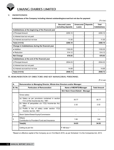

#### **V. INDEBTEDNESS**

 **Indebtedness of the Company including interest outstanding/accrued but not due for payment**

 $($ ₹ in lac)

|                                                     | <b>Secured Loans</b><br>excluding deposits | <b>Unsecured</b><br>Loans | <b>Deposits</b> | Total<br><b>Indebtedness</b> |
|-----------------------------------------------------|--------------------------------------------|---------------------------|-----------------|------------------------------|
| Indebtedness at the beginning of the financial year |                                            |                           |                 |                              |
| i) Principal Amount                                 | 2255.10                                    |                           |                 | 2255.10                      |
| ii) Interest due but not paid                       |                                            |                           |                 |                              |
| iii) Interest accrued but not due                   | 11.00                                      |                           |                 | 11.00                        |
| Total (i+ii+iii)                                    | 2266.10                                    |                           | ۰.              | 2266.10                      |
| Change in Indebtedness during the financial year    |                                            |                           |                 |                              |
| • Addition                                          | 1193.05                                    |                           |                 | 1193.05                      |
| $\bullet$ Reduction                                 | 514.12                                     |                           |                 | 514.12                       |
| <b>Net Change</b>                                   | 678.93                                     |                           | ۰.              | 678.93                       |
| Indebtedness at the end of the financial year       |                                            |                           |                 |                              |
| i) Principal Amount                                 | 2934.03                                    |                           |                 | 2934.03                      |
| ii) Interest due but not paid                       |                                            |                           |                 |                              |
| iii) Interest accrued but not due                   | 14.69                                      |                           |                 | 14.69                        |
| Total (i+ii+iii)                                    | 2948.72                                    |                           |                 | 2948.72                      |

#### **VI. REMUNERATION OF DIRECTORS AND KEY MANAGERIAL PERSONNEL**

(` in Lac)

| А.      | Remuneration to Managing Director, Whole-time Directors and/or Manager:                |                                  |                     |  |
|---------|----------------------------------------------------------------------------------------|----------------------------------|---------------------|--|
| SI. No. | <b>Particulars of Remuneration</b>                                                     | Name of MD/WTD/Manager           | <b>Total Amount</b> |  |
|         |                                                                                        | Shri Nemi Chand Baheti - Manager |                     |  |
|         | Gross salary                                                                           |                                  |                     |  |
|         | (a) Salary as per provisions contained in section<br>17(1) of the Income-tax Act, 1961 | 30.77                            | 30.77               |  |
| 1       | (b) Value of perquisites u/s 17(2) Income-tax Act,<br>1961                             | 2.32                             | 2.32                |  |
|         | (c) Profits in lieu of salary under section 17(3)<br>Income-tax Act, 1961              |                                  |                     |  |
| 2       | Stock Option/Sweat Equity/Commission                                                   |                                  |                     |  |
| 3       | Others:<br>Contribution to Provident Fund and Insurance                                | 1.84                             | 1.84                |  |
|         | Total(A)                                                                               | 34.93                            | 34.93               |  |
|         | Ceiling as per Act                                                                     | ₹ 168 lacs ^                     |                     |  |

^Based on effective capital of the Company as on 31st March 2016, as per Schedule V to the Companies Act, 2013.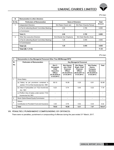

#### $($ ₹ In lac)

| В.      | <b>Remuneration to other directors:</b>       |                           |                          |              |  |
|---------|-----------------------------------------------|---------------------------|--------------------------|--------------|--|
| SI. No. | <b>Particulars of Remuneration</b>            | <b>Name of Directors</b>  |                          | <b>Total</b> |  |
| 1.      | <b>Independent Directors</b>                  | Shri Ratan Chand Jain     | Shri Ram Chandra Periwal | Amount       |  |
|         | • Fee for attending Board/ Committee Meetings | 2.90                      | 3.795                    | 6.695        |  |
|         | • Commission                                  |                           |                          | ٠            |  |
|         | Total (1)                                     | 2.90                      | 3.795                    | 6.695        |  |
| 2.      | <b>Other Non-executive Directors</b>          | Smt.Sharda Devi Singhania | Shri Desh Bandhu Doda    |              |  |
|         | • Fee for attending Board/ Committee Meetings | 1.20                      | 3.455                    | 4.655        |  |
|         | • Commission                                  |                           |                          | ۰            |  |
|         | Total (2)                                     | 1.20                      | 3.455                    | 4.655        |  |
|         | Total $(B) = (1+2)$                           |                           |                          | 11.35        |  |

 $($ ₹ In lac)

| C.             | Remuneration to Key Managerial Personnel Other Than MD/Manager/WTD                     |                                                                                                |                                                                                                   |                                                                                            |                                                                                       |        |
|----------------|----------------------------------------------------------------------------------------|------------------------------------------------------------------------------------------------|---------------------------------------------------------------------------------------------------|--------------------------------------------------------------------------------------------|---------------------------------------------------------------------------------------|--------|
| SI.            | <b>Particulars of Remuneration</b>                                                     |                                                                                                |                                                                                                   | <b>Key Managerial Personnel</b>                                                            |                                                                                       |        |
| No.            |                                                                                        | Shri C.<br>Venugopal,<br>Chief<br><b>Executive</b><br>Officer<br>(01.04.2016 to<br>31.03.2017) | Shri Gaurav<br>Jain, Chief<br><b>Financial</b><br><b>Officer</b><br>(01.04.2016 to<br>27.03.2017) | Shri Diwan<br>Singh, Chief<br>Financial<br><b>Officer</b><br>(28.03.2017 to<br>31.03.2017) | Shri Pankaj<br>Kamra.<br>Company<br><b>Secretary</b><br>(01.04.2016 to<br>31.03.2017) | Total  |
| $\mathbf{1}$   | <b>Gross Salary</b>                                                                    |                                                                                                |                                                                                                   |                                                                                            |                                                                                       |        |
|                | (a) Salary as per provisions contained in<br>section 17(1) of the Income-tax Act, 1961 | 69.10                                                                                          | 16.56                                                                                             | 0.29                                                                                       | 6.91                                                                                  | 92.86  |
|                | (b) Value of perquisites u/s 17(2) Income-tax<br>Act, 1961                             | 6.23                                                                                           | 0.74                                                                                              | 0.00                                                                                       | 0.22                                                                                  | 7.19   |
|                | (c) Profits in lieu of salary under section 17(3)<br>Income-tax Act, 1961              |                                                                                                |                                                                                                   |                                                                                            |                                                                                       |        |
| $\overline{2}$ | Stock Option/Sweat Equity/Commission                                                   |                                                                                                |                                                                                                   |                                                                                            |                                                                                       |        |
| 3              | Others:<br>Contribution to Provident Fund and Insurance                                | 3.30                                                                                           | 0.76                                                                                              | 0.02                                                                                       | 0.34                                                                                  | 4.42   |
|                | Total                                                                                  | 78.63                                                                                          | 18.06                                                                                             | 0.31                                                                                       | 7.47                                                                                  | 104.47 |

#### **VII. PENALTIES / PUNISHMENT/ COMPOUNDING OF OFFENCES:**

There were no penalties, punishment or compounding of offences during the year ended 31<sup>st</sup> March, 2017.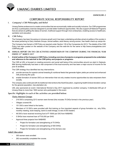**ANNEXURE-2**

## **CORPORATE SOCIAL RESPONSIBILITY REPORT**

#### **I. Company's CSR Philosophy and Belief**

Umang Dairies endeavours to create communities that are economically viable and socially inclusive. Our CSR programmes are thus a participatory exercise designed to provide better livelihood opportunities. We also support all National Programs that are aimed at uplifting the status of women, livelihood support through micro enterprises, enabling access to healthcare, sanitation and education.

#### **II. CSR Policy**

The Company has been focussing on inclusive growth and it has been undertaking activities aimed at welfare of the society in the areas pertaining to Dairy Interests Groups, animal welfare, adult literacy among women, free health check-up camps etc.

The Company has framed a CSR Policy as required under Section 135 of the Companies Act 2013. The details of the CSR Policy has been posted on the website of the Company and the web-link for the same is http://www.umangdairies.com/ CSRPolicy.pdf

- **III. Annual Report on the csr activities undertaken by the Company during the Financial Year ended 31st March 2017**
- **1. A brief outline of the Company's CSR Policy, including overview of projects or programs proposed to be undertaken and reference to the web-link to the CSR policy and projects or programs-**

The CSR at UDL is focused on creating economic and social well being of the communities around our plant in Gajraula. Milk farming traditionally has been a vital component of the local economy and has been a major source of income for the poor & landless.

The CSR strategy thus identified two key interventions:

- a) provide services for superior animal breeding & nutritional feeds that generate higher yields per animal and enhanced milk producing life cycle.
- b) enable formation of women DIG's an intervention that not only creates income opportunities but also empowers them socially.

The company also continued with its traditional interventions like Adult Education, organizing health & blood donation camps for the general population, tree plantation etc.

UDL also sponsored an event- International Women's Day 2017 organized by another company. It distributed 200 gm of Umang Ghee to more than 1800 women who participated in this event.

#### **Specific Highlights in each of the activities are provided below:**

#### **Dairy Interest Groups**

- 216 DIG's comprising 2213 women were formed (this includes 75 DIGs formed in the previous year).
- Villages covered 85.
- 151 DIG's were linked to the banks.
- Members of 10 DIG's were provided with first training on five important aspects of group formation viz., why DIGs, monthly meeting, book keeping, bank & credit linkage, & role of DIG leaders.
- 48 DIG's have received revolving fund of ` 15000 per DIG from NABARD.
- 5 SHGs have received loan of ₹ 50,000 per SHG
- Approval three projects from NABARD
	- Project for formation and strengthening of 75 SHGs
	- Project for formation and strengthening of 500 SHGs
	- Project for formation and strengthening of five farmers club

#### **Adult Education**

- 300 women were enrolled
- 262 successfully completed the course.

#### 14 **Annual Report 2016-17**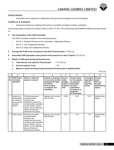#### **Animal Welfare**

• Vaccination camp organized in collaboration with government hospital to prevent HS disease.

#### **Healthcare & Sanitation**

• Awareness & advocacy meetings with women on sanitation & hygiene routinely undertaken.

Going forward plans to double the number of DIG's to 650 in FY 2017-18 in partnership with NABARD & NRLM have been firmed up.

#### **2. The Composition of the CSR Committee:**

The CSR Committee comprises of the following Directors:

- Shri R. C. Periwal (Chairman of the Committee), Independent Director
- Shri R. C. Jain, Independent Director
- Shri D. B. Doda, Non-independent Director
- **3.** Average Net Profit of the Company for last three financial years: ₹ 1092 Lac.

#### **4.** Prescribed CSR Expenditure (two percent of the amount as in item 5 above): ₹21.83 Lac.

#### **5. Details of CSR spent during the financial year**

- **a. Total amount to be spent for financial year :** ` 21.86 Lac
- **b.** Amount unspent, if any **intervalled has a state of the SNI**  $\cdot$  Nil
- **c. Manner in which the amount spent during the financial year is detailed below:**

 $($ ₹ in Lac)

| 1              | $\mathbf{2}$                                                                            | 3                                                                                                                                                                                                                             | 4                                                                                                                                                  | 5                                                              | 6                                                                                                                                                 | 7                                                                           | 8                                                        |
|----------------|-----------------------------------------------------------------------------------------|-------------------------------------------------------------------------------------------------------------------------------------------------------------------------------------------------------------------------------|----------------------------------------------------------------------------------------------------------------------------------------------------|----------------------------------------------------------------|---------------------------------------------------------------------------------------------------------------------------------------------------|-----------------------------------------------------------------------------|----------------------------------------------------------|
| SI.<br>No.     | <b>CSR Project</b><br>or Activity<br>identified                                         | Sector in which the<br>project is covered                                                                                                                                                                                     | <b>Projects or programs</b><br>(1) Local area or other<br>(2) Specify the State<br>and district<br>where projects<br>or programs was<br>undertaken | Amount<br>outlay<br>(budget)<br>project or<br>programs<br>wise | <b>Amount spent</b><br>on the projects<br>or programs<br>Sub-heads:<br>(1) Direct<br>expenditure<br>on projects or<br>programs.<br>(2) Overheads: | <b>Cumulative</b><br>expenditure spent:<br>upto the<br>reporting<br>period. | Amount<br>Direct or<br>through<br>implementing<br>agency |
| $\mathbf{1}$   | Initiative for<br>Employability<br>& Livelihood<br>enhancement<br>activities<br>(DIG'S) | Promoting education,<br>including special<br>education and<br>employment enhancing<br>vocational skills especially<br>among children, women,<br>elderly, and the differently<br>abled and livelihood<br>enhancement projects; | Gajraula, Dist. Amroha,<br>Uttar Pradesh                                                                                                           | 18.99                                                          | 19.37                                                                                                                                             | 19.37                                                                       | Implementing<br>Agency                                   |
| $\overline{2}$ | <b>Adult Literacy</b>                                                                   | Promoting education,<br>including special<br>education and<br>employment enhancing<br>vocational skills especially<br>among children, women,<br>elderly, and the differently<br>able and livelihood<br>enhancement projects;  | Gairaula, Dist. Amroha,<br><b>Uttar Pradesh</b>                                                                                                    | 2.10                                                           | 1.87                                                                                                                                              | 1.87                                                                        | Implementing<br>Agency                                   |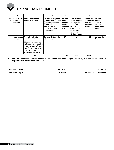

|            | $\mathbf{2}$                                    | 3                                                                                                                                                                                                                            | 4                                                                                                                                           | 5                                                              | 6                                                                                                                                                 | 7                                                                    | 8                                                                  |
|------------|-------------------------------------------------|------------------------------------------------------------------------------------------------------------------------------------------------------------------------------------------------------------------------------|---------------------------------------------------------------------------------------------------------------------------------------------|----------------------------------------------------------------|---------------------------------------------------------------------------------------------------------------------------------------------------|----------------------------------------------------------------------|--------------------------------------------------------------------|
| SI.<br>No. | <b>CSR Project</b><br>or Activity<br>identified | Sector in which the<br>project is covered                                                                                                                                                                                    | Projects or programs<br>(1) Local area or other<br>(2) Specify the State<br>and district<br>where projects<br>or programs was<br>undertaken | Amount<br>outlay<br>(budget)<br>project or<br>programs<br>wise | <b>Amount spent</b><br>on the projects<br>or programs<br>Sub-heads:<br>(1) Direct<br>expenditure<br>on projects or<br>programs.<br>(2) Overheads: | <b>Cumulative</b><br>expenditure<br>upto the<br>reporting<br>period. | Amount<br>spent:<br>Direct or<br>through<br>implementing<br>agency |
| 3          | Miscellaneous<br>Expenses                       | Promoting education,<br>including special<br>education and<br>employment enhancing<br>vocational skills especially<br>among children, women,<br>elderly, and the differently<br>able and livelihood<br>enhancement projects; | Gajraula, Dist. Amroha,<br>Uttar Pradesh                                                                                                    | 0.74                                                           | 0.62                                                                                                                                              | 0.62                                                                 | Implementing<br>Agency                                             |
|            | Total                                           |                                                                                                                                                                                                                              |                                                                                                                                             | 21.83                                                          | 21.86                                                                                                                                             | 21.86                                                                |                                                                    |

**6. The CSR Committee confirms that the implementation and monitoring of CSR Policy, is in compliance with CSR objectives and Policy of the Company.**

**Place : New Delhi D.B. DODA R.C. Periwal Date : 26th May 2017 (Director) Chairman, CSR Committee**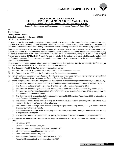#### **ANNEXURE-3**

#### **SECRETARIAL AUDIT REPORT FOR THE FINANCIAL YEAR ENDED 31ST MARCH, 2017**

*[Pursuant to Section 204(1) of the Companies Act, 2013 and Rule No. 9 of the Companies (Appointment and Remuneration of Managerial Personnel) Rules, 2014]*

To,

#### The Members, **Umang Dairies Limited,**

Gajraula-Hasanpur Road, Gajraula – 244235 Dist. Amroha, Uttar Pradesh

I have conducted the secretarial audit of the compliance of applicable statutory provisions and the adherence to good corporate practices by **Umang Dairies Limited** (hereinafter called 'the Company'). Secretarial Audit was conducted in a manner that provided me a reasonable basis for evaluating the corporate conducts/statutory compliances and expressing my opinion thereon.

Based on my verification of the Company's books, papers, minute books, forms and returns filed and other records maintained by the Company and also the information provided by the Company, its officers, agents and authorized representatives during the conduct of secretarial audit, I hereby report that in my opinion, the Company has, during the audit period covering the financial year ended on **31st March, 2017** (Audit Period), complied with the statutory provisions listed hereunder and also that the Company has proper Board-processes and compliance-mechanism in place to the extent, in the manner and subject to the reporting made hereinafter:

I have examined the books, papers, minute books, forms and returns filed and other records maintained by the Company for the financial year ended on 31<sup>st</sup> March, 2017 according to the provisions of:

- (i) The Companies Act, 2013 (the Act) and the rules made thereunder;
- (ii) The Securities Contracts (Regulation) Act, 1956 ('SCRA') and the rules made thereunder;
- (iii) The Depositories Act, 1996 and the Regulations and Bye-laws framed thereunder;
- (iv) Foreign Exchange Management Act, 1999 and the rules and regulations made thereunder to the extent of Foreign Direct Investment, Overseas Direct Investment and External Commercial Borrowings;
- (v) The following Regulations and Guidelines prescribed under the Securities and Exchange Board of India Act, 1992 ('SEBI Act'):-
	- (a) The Securities and Exchange Board of India (Substantial Acquisition of Shares and Takeovers) Regulations, 2011;
	- (b) The Securities and Exchange Board of India (Prohibition of Insider Trading) Regulations, 2015;
	- (c) The Securities and Exchange Board of India (Issue of Capital and Disclosure Requirements) Regulations, 2009;
	- (d) The Securities and Exchange Board of India (Share Based Employee Benefits) Regulations, 2014 (Not applicable to the Company during the Audit Period);
	- (e) The Securities and Exchange Board of India (Issue and Listing of Debt Securities) Regulations, 2008 (Not applicable to the Company during the Audit Period);
	- (f) The Securities and Exchange Board of India (Registrars to an Issue and Share Transfer Agents) Regulations, 1993 regarding the Companies Act and dealing with client;
	- (g) The Securities and Exchange Board of India (Delisting of Equity Shares) Regulations, 2009- (Not applicable to the Company during the Audit Period),
	- (h) The Securities and Exchange Board of India (Buyback of Securities) Regulations, 1998- (Not applicable to the Company during the Audit Period); and
	- The Securities and Exchange Board of India (Listing Obligations and Disclosure Regulations) Regulations, 2015
- (vi) Management has identified and confirmed the following laws as being specifically applicable to the company and complied with:-
	- UP Milk Act, 1976
	- UP Milk and Milk Products Order, 1977
	- Water (Prevention and Control of Pollution) Cess Act, 1977
	- UP Krishi Utpadan Mandi Samiti Adhiniyam, 1964
	- Food Safety and Standards Act, 2006
	- Agricultural and Processed Food Products Export Act, 1986
	- Agricultural Produce (Grading and Marketing) Act, 1937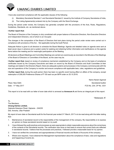

I have also examined compliance with the applicable clauses of the following

- Mandatory Secretarial Standard 1 and Secretarial Standard 2 issued by the Institute of Company Secretaries of India,
- (ii) The Listing Agreement(s) entered into by the Company with the Stock Exchange.

During the period under review, the Company has generally complied with the provisions of the Acts, Rules, Regulations, Guidelines, Standards, etc. as mentioned above.

#### **I further report that:**

The Board of Directors of the Company is duly constituted with proper balance of Executive Directors, Non-Executive Directors and Independent Directors, one of whom is an Occupier.

The changes in the composition of the Board of Directors that took place during the period under review were carried out in compliance with provisions of the Act. - Not applicable during the Audit Period.

Adequate Notice is given to all directors to schedule the Board Meetings. Agenda and detailed notes on agenda were sent at least seven days in advance and a system exists for seeking and obtaining further information and clarifications on the agenda items before the meeting and for meaningful participation at the Meeting.

All decisions at Board Meetings and Committee Meetings are carried out unanimously as recorded in the Minutes of the Meetings of the Board of Directors or Committee of the Board, as the case may be.

**I further report that,** based on review of compliance mechanism established by the Company and on the basis of compliance certificates issued by the Company Executives and taken on record by the Board of Directors and Audit Committee at their meetings and stated in the Directors Report, there are adequate systems and processes in the Company commensurate with the size and operations of the Company to monitor and ensure compliance with applicable laws, rules, regulations and guidelines.

**I further report that,** during the audit period, there has been no specific event having effect on affairs of the company, except redemption of 208,000 Preference Shares of  $\bar{\tau}$  100 each as per BIFR order on 20.10.2016.

Namo Narain Agarwal Place: New Delhi Secretarial Auditor Channels and Secretarial Auditor Channels and Secretarial Auditor Channels and Secretarial Auditor Date : 11th May 2017 FCS No. 234, CP No. 3331

This report is to be read with our letter of even date which is annexed as **Annexure A** and forms an integral part of this report.

**'Annexure A'**

To, The Members, **Umang Dairies Limited,** Gajraula-Hasanpur Road, Gajraula – 244235 Dist. Amroha, Uttar Pradesh

My report of even date on Secretarial audit for the financial year ended  $31<sup>st</sup>$  March, 2017 is to be read along with this letter stating that -

- 1. Maintenance of secretarial record is the responsibility of the management of the company. My responsibility is to express an opinion on these secretarial records based on my audit.
- 2. I have followed the audit practices and processes as were appropriate to obtain reasonable assurance about the correctness of the contents of the Secretarial records. The verification was done on test basis to ensure that correct facts are reflected in secretarial records. I believe that the processes and practices, I followed provide a reasonable basis for my opinion.
- 3. I have not verified the correctness and appropriateness of financial records and Books of Accounts of the company.
- 4. Where ever required, I have obtained the Management representation about the compliance of laws, rules and regulations and happening of events etc.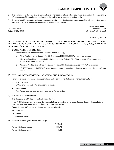- 5. The compliance of the provisions of Corporate and other applicable laws, rules, regulations, standards is the responsibility of management. My examination was limited to the verification of procedures on test basis.
- 6. The Secretarial Audit report is neither an assurance as to the future viability of the company nor of the efficacy or effectiveness with which the management has conducted the affairs of the company.

Place: New Delhi Date: 11<sup>th</sup> May 2017

Namo Narain Agarwal Secretarial Auditor FCS No. 234, CP No. 3331

#### **Annexure – 4**

**Particulars of Conservation of Energy, Technology Absorption and Foreign Exchange Earnings & Outgo in terms of section 134 (3) (m) of the Companies Act, 2013, read with Companies (Accounts) Rules, 2014** 

#### **A) CONSERVATION OF ENERGY:**

- I. These steps taken on conservation / alternate source of energy
	- a. Motor Replacement in Exhaust Fan 60HP in place of 75HP. 30,000 KWH saved per annum.
	- b. Alfa Dryer Root Blower replaced with existing one highly efficiently 7.5 HP instead of 20 HP with same parameter. 60,000 KWH saved per annum.
	- c. Nichrome Machine Servo System provided in place of CBC unit, power saved 9000 KWH per annum.
	- d. 10 HP VFD provided in LMP CIP Circuit for supply pump to control water flow and saved power 21,900 KWH per annum.

#### **B) TECHNOLOGY ABSORPTION, ADAPTION AND INNOVATION:-**

Following projects have been initiated, completed and in partly completed during Financial Year 2016-17:-

**1. ETP flow meter :**

DO meter placed on ETP to check aeration health.

**2. Drying Plant :**

New Paneer packing Machine commissioned for Paneer dicing.

#### **C) Research & Development**

The Company spent  $\bar{\tau}$  2.66 Lac on R&D during the year.

In our R & D Wing, we are working on development of new products to enhance our Product Basket in the market and also improving quality and cost reduction in existing product basket.

During the year R&D team is working on some new products like:

- a) Gulab Jamun,
- b) Paneer
- c) Other Misc items

#### **D) Foreign Exchange Earnings and Outgo**

|                         | (₹ in Lac) |
|-------------------------|------------|
| Foreign Exchange earned | 330.78     |
| Foreign Exchange used   | 46.88      |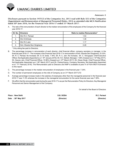#### **Annexure–5**

**Disclosure pursuant to Section 197(12) of the Companies Act, 2013 read with Rule 5(1) of the Companies (Appointment and Remuneration of Managerial Personnel) Rules, 2014 as amended vide MCA Notification dated 30th June 2016, for the Financial Year 2016-17 ended 31st March 2017:**

A. The ratio of the remuneration of each director to the median remuneration of the employees of the Company for the financial year 2016-17-

| SI. No. | <b>Directors</b>           | Ratio to median Remuneration* |
|---------|----------------------------|-------------------------------|
|         | Shri R.C. Periwal          | 1.53                          |
| 2.      | Shri D.B.Doda              | 1.39                          |
| 3.      | Shri R.C.Jain              | 1.17                          |
| -4.     | Smt. Sharda Devi Singhania | 0.49                          |

\* Only sitting fee paid to Directors.

- B. The percentage increase in remuneration of each director, chief financial officer, company secretary or manager, in the financial year 2016-17 - The increase in the Financial Year 2016-17 in remuneration of Smt. Sharda Devi Singhania, 33.33%; Sh. R. C. Periwal, No Increase; Sh. D. B. Doda, 1.76%; Sh. R. C. Jain, No Increase; Sh. C. Venugopal, Chief Executive Officer, Not Applicable (Appointed w.e.f. 18<sup>th</sup> January 2016); Sh. N.C. Baheti, Manager, 7.38% (Ceased w.e.f. 10<sup>th</sup> May 2017); Sh. Gaurav Jain, Chief Financial Officer, 15.96% (Ceased w.e.f. 27<sup>th</sup> March 2017); Sh. Diwan Singh, Chief Financial Officer, Not Applicable (Appointed w.e.f. 28<sup>th</sup> March 2017) and Sh. Pankaj Kamra, Company Secretary, Not Applicable (Appointed w.e.f. 11<sup>th</sup> February 2016). The Remuneration paid to Directors and KMP is available at para VI of Form MGT-9 annexed to this report.
- C. The percentage increase in the median remuneration of employees in the financial year: 7.34%
- D. The number of permanent employees on the rolls of Company as on 31<sup>st</sup> March 2017:272
- E. Average percentage increase made in the salaries of employees other than the managerial personnel in the financial year 2016-17 was 11.5% whereas the increase in the managerial remuneration for the same financial year was 7.38%.
- F. We affirm that the remuneration paid during the year 2016-17 is as per the Remuneration Policy for Directors, Key Managerial Personnel and Senior Management of the Company.

On behalf of the Board of Directors

**Place : New Delhi D.B. DODA R.C. Periwal Date : 26th May 2017 (Director) (Director)**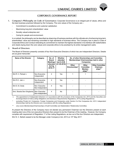#### **CORPORATE GOVERNANCE REPORT**

- **1. Company's Philosophy on Code of Governance:** Corporate Governance is an integral part of values, ethics and the best business practices followed by the Company. The core values of the Company are :-
	- Commitment to excellence and customer satisfaction
	- Maximizing long term shareholders' value
	- Socially valued enterprise and
	- Caring for people and environment.

In a nutshell, the philosophy can be described as observing of business practices with the ultimate aim of enhancing long-term shareholders' value and remaining committed to high standards of business ethics. The Company has in place a Code of Corporate Ethics and Conduct reiterating its commitment to maintain the highest standards in its interface with stakeholders and clearly laying down the core values and corporate ethics to be practised by its entire management cadre.

#### **2. Board of Directors:**

The Board of Directors presently consists of four Non-Executive Directors of which two are Independent Directors. Details are as given hereunder:

| Name of the Director        | Category                         | No. of<br>Board<br><b>Meetings</b> | Whether<br>attended<br>last A.G.M. |              | No. of other Directorships and Committee<br>Memberships/ Chairmanships held in other<br>Companies |                                          |                                                |
|-----------------------------|----------------------------------|------------------------------------|------------------------------------|--------------|---------------------------------------------------------------------------------------------------|------------------------------------------|------------------------------------------------|
|                             |                                  | attended<br>during<br>2016-17      |                                    | (21.09.2016) | Other<br>Directorships*                                                                           | Other<br>Committee<br>Member-<br>ships** | <b>Other Committee</b><br>Chairman-<br>ships** |
| Shri R. C. Periwal $\wedge$ | Non-Executive<br>Independent     | 4                                  | Yes                                |              |                                                                                                   |                                          |                                                |
| Shri R.C. Jain $\Delta$     | Non-Executive<br>Independent     | 4                                  | Yes                                |              |                                                                                                   |                                          |                                                |
| Shri D. B. Doda             | Non-Executive<br>Non-Independent | 4                                  | Yes                                |              |                                                                                                   |                                          |                                                |
| Smt. Sharda Devi Singhania  | Non-Executive<br>Non-Independent | 4                                  | No                                 |              |                                                                                                   |                                          |                                                |

 *∆ The appointment of Independent Directors is in accordance with the provisions of the Companies Act, 2013 and the Securities and Exchange Board of India (Listing Obligations and Disclosure Requirements) Regulations, 2015 (Listing Regulations).* 

*\* excluding Private Ltd. Companies, Foreign Companies and Companies under Section 8 of the Companies Act, 2013. Independent Directorships held by the Directors are in accordance with the Listing Regulations.*

*\*\* only covers Memberships/Chairmanships of Audit Committee and Stakeholders' Relationship Committee.* 

At present the Directors of the Company have not elected any permanent Chairman but the Directors present at each meeting elect one of the non-executive Directors then present to be the Chairman of the meeting. However, the Company complies with requirement of Regulation 17 of the Listing Regulations, as two out of the four Directors are independent.

Shri N. C. Baheti ceased to be the Manager under Company's Act, 2013 on  $10<sup>th</sup>$  May 2017.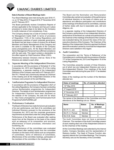#### **Date & Number of Board Meetings held:-**

Four Board Meetings were held during the year 2016-17, i.e. on  $12<sup>th</sup>$  May 2016,  $3<sup>rd</sup>$  August 2016,  $5<sup>th</sup>$  November 2016 and 6<sup>th</sup> February 2017.

The Board periodically reviews Compliance Reports of all laws applicable to the Company and has put in place procedure to review steps to be taken by the Company to rectify instances of non-compliances, if any.

The Company already has a Code of Conduct in position for Management Cadre Staff. In terms of provisions of Regulation 17(5) of the Listing Regulations and contemporary practices of good corporate governance, the Board has laid down a code of conduct for all Board Members and Senior Management of the Company and the same is available on the website of the Company (www.umangdairies.com). All the Board Members and Senior Management Personnel have affirmed compliance with the said code. This report contains a declaration to this effect signed by Chief Executive Officer (CEO).

Relationship between Directors inter-se- None of the Directors are related to each other.

#### **3. Separate Meeting of the Independent Directors:**

In accordance with the provisions of Schedule IV of the Companies Act, 2013 and Regulation 25 of the Listing Regulations, a separate meeting of the Independent Directors of the Company was held on 6<sup>th</sup> February 2017. Shri R.C. Periwal was unanimously elected as Chairman of the meeting and all the Independent Directors of the Company were present at the said Meeting.

#### **4. Familiarisation Programme For Independent Directors:**

In accordance with the provisions of Regulation 25(7) of the Listing Regulations, the Company has been conducting various familiarization programmes for Independent Directors. The details of such familiarisation programmes for Independent Directors have been disclosed on the website of the Company, the web link for which is: http://www.umangdairies.com/Familiarisation%20 Programme%20of%20INDs.pdf

#### **5. Performance Evaluation**

The Board of Directors has made formal annual evaluation of its own performance, and that of its committees and Individual Directors pursuant to the provisions of the Companies Act, 2013 and the corporate governance requirements as prescribed under the Listing Regulations.

Performance of the Board was evaluated after seeking inputs from all the Directors on the basis of the criteria such as adequacy of its composition and structure, effectiveness of board processes, information and functioning, etc.

The performance of the committees was evaluated by the Board after seeking inputs from the committee members on the basis of the criteria such as composition of committees, terms of reference of committees, effectiveness of the committee meetings, participation of the members of the committee in the meetings, etc.

The Board and the Nomination and Remuneration Committee also carried out evaluation of the performance of individual directors on the basis of criteria such as attendance and effective participation and contributions at the meetings of the Board and its committees, exercise of his/her duties with due & reasonable care, skill and diligence, etc.

In a separate meeting of the Independent Directors of the Company, performance of non-independent directors, performance of the Board as a whole and performance of the Chairman of the meetings of the Board of the Company was evaluated taking into account the views of the nonexecutive directors of the Company. The Chairman of the Meeting of the Independent Directors apprised the Board about the evaluation carried by it and that the Independent Directors were satisfied in this regard.

#### **6. Audit Committee:**

The composition and the 'Terms of Reference' of the Committee are in conformity with the provisions of Section 177 of the Companies Act, 2013 and Regulation 18 of the Listing Regulations.

The Committee presently consists of three Directors, out of which two are Independent Directors and one is Non-Independent Director. Four meetings of the Audit Committee were held during the year 2016 -17 as detailed hereunder:

| Dates of meetings             | No. of members attended |
|-------------------------------|-------------------------|
| 12 <sup>th</sup> May 2016     |                         |
| 3rd August 2016               |                         |
| 5 <sup>th</sup> November 2016 |                         |
| 6 <sup>th</sup> February 2017 |                         |

Dates of the meetings and the number of the Members attended are:

The names of the Members of the Committee and their attendance at the Meetings are as follows:

| Name               | <b>Status</b> | No. of Meetings<br>attended |
|--------------------|---------------|-----------------------------|
| Shri R. C. Jain    | Member        |                             |
| Shri R. C. Periwal | Member        |                             |
| Shri D.B. Doda     | Member        |                             |

The Audit Committee does not have a permanent Chairman. The members of the Audit Committee present at each meeting elect one of the Independent Director to be the Chairman of the meeting.

All the Committee Meetings were attended by the Internal Auditor, Company Secretary and the representative of Statutory Auditor. The Head of Finance Function also regularly attends the Committee Meetings. The Company Secretary acts as the Secretary of the Committee.

#### 22 **Annual Report 2016-17**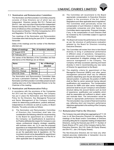#### **7.1 Nomination and Remuneration Committee:**

The Nomination and Remuneration Committee presently consists of three Directors out of which two are Independent Directors namely Shri R.C. Periwal and Shri R.C. Jain, and one is Non-Executive Non-Independent Director namely Shri D.B. Doda. The Composition and the terms of reference of the committee are in conformity with the provisions of Section 178 of the Companies Act, 2013 and Regulation 19 of the Listing Regulations.

Two meetings of the Nomination and Remuneration Committee were held during the year 2016-17 as detailed hereunder:

Dates of the meetings and the number of the Members attended are:

| Dates of meetings             | No. of members attended |
|-------------------------------|-------------------------|
| 3rd August 2016               |                         |
| 6 <sup>th</sup> February 2017 |                         |

The names of the Members of the Committee and their attendance at the Meetings are as follows:

| Name              | <b>Status</b> | No. of Meetings |
|-------------------|---------------|-----------------|
|                   |               | attended        |
| Shri R.C. Jain    | Member        |                 |
| Shri R.C. Periwal | Member        |                 |
| Shri D.B. Doda    | Member        |                 |

The Nomination and Remuneration Committee does not have a permanent Chairman. The members of the Nomination and Remuneration Committee present at each meeting elect one of the Independent Director to be the Chairman of the meeting.

#### **7.2 Nomination and Remuneration Policy:**

In accordance with the provisions of the Companies Act 2013 and the Listing Regulations, the Company has put in place the Nomination and Remuneration Policy for the Directors, Key Managerial Personnel and Senior Management of the Company including criteria for determining qualifications, positive attributes, independence of a Director as well as a policy on Board Diversity. The policy provides as follows:

(i) The Nomination and Remuneration Committee of Directors (the Committee) shall take into consideration the following criteria for recommending to the Board for appointment as a Director of the Company: (a) Qualifications & experience. (b) Positive attributes like respect for Company's core values, professional integrity, strategic capability with business vision, etc. (c) In case the proposed appointee is an Independent Director, he should fulfill the criteria for appointment as Independent Director as per the applicable laws & regulations. (d) The incumbent should not be disqualified for appointment as Director pursuant to the provisions of the Act or other applicable laws & regulations.

- (ii) The Committee will recommend to the Board appropriate compensation to Executive Directors subject to the provisions of the Act, Listing Regulations and other applicable laws & regulations. The Committee shall periodically review the compensation of such Directors in relation to other comparable companies and other factors, the Committee deems appropriate. Proposed changes, if any, in the compensation of such Directors shall be reviewed by the Committee subject to approval of the Board.
- (iii) The Board will review the performance of a Director as per the structure of performance evaluation adopted by the Board for Directors including Executive Directors.
- (iv) The Committee will review from time to time Board diversity to bring in professional performance in different areas of operations, transparency, corporate governance, financial management, risk assessment & mitigation strategy and human resource management in the Company. The Company will keep succession planning and board diversity in mind in recommending any new name of Director for appointment to the Board.
- (v) The eligibility criteria for appointment of Key Managerial Personnel (KMPs) and other senior management personnel shall vary for different positions depending upon the job description of the relevant position. In particular, the position of KMPs shall be filled by senior personnel having relevant qualifications and experience. The Compensation structure for KMPs and other senior management personnel shall be as per Company's remuneration structure taking into account factors such as level of experience, qualification and suitability which shall be reasonable and sufficient to attract, retain and motivate them. The remuneration would be linked to appropriate performance benchmarks. The remuneration may consist of fixed and incentive pay reflecting short and long-term performance objectives appropriate to the working of the Company and its goals.

#### **7.3 Remuneration Paid to the Directors:**

The Company has paid sitting fees aggregating to  $\bar{\tau}$  11.35 Lacs to all Non-Executive Directors for attending the meetings of the Board and/or Committees of Directors (including sitting fee for a separate meeting of Independent Directors), during the financial year 2016-17. Number of Equity Shares of  $\overline{\tau}$  5/- each of the Company held by Non-Executive Directors: Shri D.B. Doda (50 Equity Shares) and Shri R.C. Jain (100 Equity Shares).

The Non-Executive Directors did not have any other material pecuniary relationship or transaction vis-a-vis the Company during the year.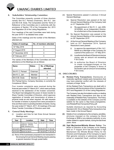

#### **8. Stakeholders' Relationship Committee:**

The Committee presently consists of three directors namely Shri R.C. Periwal (Chairman), Shri R.C. Jain and Shri D.B. Doda. The Composition and the 'Terms of Reference' of the Committee are in conformity with the provisions of Section 178 of the Companies Act, 2013 and Regulation 20 of the Listing Regulations.

Four meetings of the said Committee were held during the year 2016-17 as detailed here under:

Dates of the meetings and the number of the Members attended are:

| Dates of meetings             | No. of members attended |
|-------------------------------|-------------------------|
| 12 <sup>th</sup> May 2016     |                         |
| 3rd August 2016               |                         |
| 5 <sup>th</sup> November 2016 |                         |
| 6 <sup>th</sup> February 2017 |                         |

The names of the Members of the Committee and their attendance at the Meetings are as follows:

| Name                 | <b>Status</b> | <b>No. of Meetings</b><br>attended |
|----------------------|---------------|------------------------------------|
| I Shri R. C. Periwal | Chairman      |                                    |
| l Shri R. C. Jain    | Member        |                                    |
| l Shri D.B. Doda     | Member        |                                    |

Shri Pankaj Kamra, Company Secretary, is currently the Compliance Officer.

Four investor complaints were received during the financial year ended 31<sup>st</sup> March 2017, which were promptly resolved to the satisfaction of the investor concerned. The Board had delegated the power of share transfer to Share Transfer Committee of Directors, which approves registration of transfer and transmission of shares in physical mode as and when required. All valid requests for transfer of shares in physical form were processed in time and there were no pending transfers of shares. During the year ended 31<sup>st</sup> March, 2017, 35 meetings of the said Share Transfer Committee of Directors were held.

#### **9. General Body Meetings:**

(i) Location and time for last three Annual General Meetings were:

| Year      | Location                                                            | Date       | Time       |
|-----------|---------------------------------------------------------------------|------------|------------|
| 2013-2014 | Gajraula Hasanpur Road<br>Gajraula - 244235<br>Distt. Amroha (U.P.) | 22.09.2014 | 11.30 A.M. |
| 2014-2015 | Same as above                                                       | 29.09.2015 | 11.30 A.M. |
| 2015-2016 | Same as above                                                       | 21.09.2016 | 11.30 A.M. |

(ii) None of the businesses proposed to be transacted in the ensuing Annual General Meeting require passing a special resolution through postal ballot.

- (iii) Special Resolutions passed in previous 3 Annual General Meetings:
	- (a) Special Resolution was passed at the last Annual General Meeting of the Company held on 21st September 2016.
		- (i) Re-appointment of Shri R. C. Jain (DIN: 00165590), as an Independent Director, for a further term of five consecutive years.
	- (b) No Special Resolution was passed at the Annual General Meeting of the company held on 29th September 2015.
	- (c) At the Annual General Meeting of the Company held on 22nd September 2014, Special Resolutions were passed:
		- (i) to approve the appointment of Shri. N.C. Baheti as a Manager of the Company for a period of five years w.e.f. 13<sup>th</sup> May 2014.
		- (ii) to authorize the Board of Directors to borrow money upto an amount not exceeding ₹ 50 Crores.
		- (iii) to authorize the Board of Directors to create mortgage/charges on the properties of the Company in favour of the lenders upto an amount not exceeding  $\bar{z}$  50 Crores.

#### **10. DISCLOSURES:**

**(i) Related Party Transactions:** Disclosures on materially significant related party transactions that may have potential conflict with the interests of company at large: None

 All the Related Party Transactions are dealt with in accordance with the provisions of the Companies Act, 2013 and Regulation 23 of the Listing Regulations.

 The Company has also formulated a policy on dealing with Related Party Transactions and also on the materiality of Related Party Transactions. This Policy is available on the website of the Company and the weblink for the same is http://www.umangdairies. com/RelatedPartyTransactionPolicy.pdf.

Suitable disclosure as required by Accounting Standard (AS-18) on Related Party transactions has been made in the Annual Report.

- **(ii)** Details of non-compliance by the company, penalties, strictures imposed on the company by Stock Exchange or SEBI or any statutory authority, on any matter related to capital markets, during the last three years: *None*
- **(iii) Vigil Mechanism/Whistle Blower Policy:** The Board of Directors of the Company at its meeting held on 7<sup>th</sup> August 2014 has formulated a Vigil Mechanism/ the Whistle Blower Policy for the Directors and Employees of the Company to report their genuine concerns or grievances relating to actual or suspected fraud, unethical behaviour,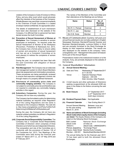

violation of the Company's Code of Conduct or Ethics Policy, and any other event which would adversely affect the interests of the business of the Company. Whistle Blowers may send their concerns/complaints to the Chairman of Audit Committee in a sealed envelope marked confidential, for appropriate action.

 The details of establishment of such mechanism have been also disclosed on the website of the Company. It is affirmed that no personnel has been denied access the Audit Committee.

**(iv) Prevention of Sexual Harassment of Women at Workplace:** Your Company is sensitive to women employees at workplace. As required under the Sexual Harassment of Women at the Workplace (Prevention, Prohibition & Redressal) Act, 2013, the Company has a formal policy to ensure safety of women and prevention of sexual harassment and has set up a Complaint Committee at its work place(s) to redress the complaints of women employees.

During the year, no complaint has been filed with the said Committee with allegation of Sexual Harassment.

- **(v) Risk Management:** The Company has an elaborate risk management system to inform Board Members about risk assessment and minimization procedures. These procedures are being periodically reviewed to ensure that executive management controls risk through means of a properly defined framework.
- **(vi) Disclosure of commodity price risks and commodity hedging activities:** The Company is not subject to commodity price risk and therefore was not required to undertake any commodity hedging activities in this regard.
- **(vii) Subsidiary Companies:** During the year, the Company did not have any subsidiary.

 The Company has formulated a policy for determining material subsidiary as required under Regulation 16 of the Listing Regulations and the same is disclosed on the Company's Website. The web link is http://www.umangdairies.com/Policy%20for%20 Determining%20Material%20Subsidiary.pdf

 During the year, the Company did not have any material unlisted subsidiary as defined in Regulation 16 of the Listing Regulations.

**(viii) Corporate Social Responsibility Committee:** The Company has a "Corporate Social Responsibility Committee of Directors' which comprises of three Directors out of which two are Independent Directors. The composition and role of the Committee are in conformity with the provisions of Section 135 of the Companies Act, 2013. Two Meetings of the Committee were held during the financial year ended  $31^{st}$  March 2017 i.e., on  $12^{th}$  May 2016 and 6<sup>th</sup> February 2017.

 The names of the Members of the Committee and their attendance at the Meetings are as follows:

| <b>Name</b>        | <b>Status</b> | No. of<br><b>Meetings</b><br>attended |
|--------------------|---------------|---------------------------------------|
| Shri R. C. Periwal | Chairman      |                                       |
| Shri R. C. Jain    | Member        |                                       |
| Shri D.B. Doda     | Member        |                                       |

**11. Means of Communication:** Quarterly, half yearly and annual financial results are normally published in English Newspaper Business Standard/Financial Express and Business Standard/Jansatta, Lucknow Edition in Hindi and are promptly furnished to the Stock Exchange for display on their respective websites. The results are also displayed on the website of the company "www. umangdairies.com". 'Management Discussion & Analysis' forms part of the Annual Report.

Presentations made to the institutional investors or to the analysts, if any, are promptly displayed on the website of the Company.

#### **12. General Shareholders' Information:**

**(i) Annual General Meeting :**

| (a) | Date and Time : | Wednesday, 27 <sup>th</sup> September 2017 |
|-----|-----------------|--------------------------------------------|
|     |                 | at 11.30 A.M.                              |
|     | Venue           | Gajraula Hasanpur Road,                    |
|     |                 | Gajraula - 244 235                         |
|     |                 | Distt. Amroha, Uttar Pradesh.              |

(b) A brief resume and other particulars of Director(s) seeking re-appointment at the aforesaid AGM are given in the Notes to the Notice convening the said Meeting.

| (ii) Book Closure | $: 21st$ September 2017<br>to 27 <sup>th</sup> September 2017<br>(both days inclusive) |
|-------------------|----------------------------------------------------------------------------------------|
|                   |                                                                                        |

- **(iii) Dividend Payment Date :** Not Applicable
- **(iv) Financial Calendar :** Year Ending March 31

| <b>Annual General Meeting</b> | Between June and |
|-------------------------------|------------------|
| for the year ending           | September 2018   |
| March 31, 2018                |                  |

**(v) Name and address of Stock Exchanges (including Stock Code) where equity shares of the Company are listed:** The Equity Shares of the Company are listed on the following Stock Exchanges :

| <b>BSE Limited</b>   | National Stock Exchange      |
|----------------------|------------------------------|
| (Stock Code          | of India Ltd.                |
| $-500231$            | (Stock Code - UMANGDAIRY)    |
| Phiroze Jeejeebhoy   | "Exchange Plaza"             |
| Towers, Dalal Street | Bandra-Kurla Complex,        |
| Mumbai - 400 001     | Bandra (East) Mumbai-400 051 |
|                      |                              |

The annual listing fee for the financial year 2017- 18 has been paid to both the aforesaid Stock Exchanges.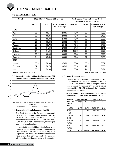#### **(vi) Stock Market Price Data:**

| <b>Month</b> | <b>Stock Market Price on BSE Limited</b> |         | <b>Stock Market Price on National Stock</b><br>Exchange of India Ltd. (NSE) |            |                          |                                          |
|--------------|------------------------------------------|---------|-----------------------------------------------------------------------------|------------|--------------------------|------------------------------------------|
|              | High (₹)                                 | Low (₹) | Closing price of<br>BSE Sensex (₹)                                          | High $(3)$ | Low $(\overline{\zeta})$ | <b>Closing Price of</b><br>NSE Nifty (₹) |
| 2016         |                                          |         |                                                                             |            |                          |                                          |
| April        | 76.80                                    | 63.15   | 25607                                                                       | 76.60      | 62.05                    | 7850                                     |
| May          | 72.80                                    | 60.85   | 26668                                                                       | 73.50      | 58.40                    | 8160                                     |
| June         | 79.50                                    | 63.60   | 27000                                                                       | 79.80      | 63.65                    | 8288                                     |
| July         | 75.00                                    | 66.50   | 28052                                                                       | 75.00      | 65.75                    | 8639                                     |
| August       | 73.35                                    | 60.75   | 28452                                                                       | 73.45      | 57.40                    | 8786                                     |
| September    | 87.25                                    | 64.00   | 27866                                                                       | 87.50      | 64.10                    | 8611                                     |
| October      | 101.00                                   | 74.00   | 27930                                                                       | 100.60     | 73.75                    | 8626                                     |
| November     | 99.70                                    | 66.05   | 26653                                                                       | 99.90      | 68.00                    | 8225                                     |
| December     | 81.95                                    | 67.50   | 26626                                                                       | 82.00      | 67.40                    | 8186                                     |
| 2017         |                                          |         |                                                                             |            |                          |                                          |
| January      | 83.80                                    | 72.00   | 27656                                                                       | 83.60      | 69.80                    | 8561                                     |
| February     | 87.00                                    | 72.70   | 28743                                                                       | 86.15      | 72.20                    | 8880                                     |
| March        | 83.00                                    | 74.00   | 29621                                                                       | 83.30      | 74.10                    | 9174                                     |

(Source : www.bseindia.com) ( Source: www.nseindia.com)

**(vii) Umang Dairies Ltd.'s Share Performance vs. BSE Sensex and NSE Nifty (April 2016 to March 2017)**



#### **(viii) Dematerialisation of shares and liquidity:**

 The Equity Shares of the Company are presently tradable in compulsory demat segment. The ISIN No. for Equity Shares of the Company for both the depositories is INE864B01027. As on 31<sup>st</sup> March 2017, 93.70% of the Company's Equity Share Capital was in dematerialised form.

In respect of Shares held in electronic form, all the requests for nomination, change of address and rematerialisation etc. are to be made only to the Depository Participant with whom the Shareholders have opened their Demat Account. The Company will not be in a position to process such requests.

#### **(ix) Share Transfer System:**

 The transfer / transmission of shares in physical form is normally processed and completed within a period of 15 days from the date of receipt thereof. In case of shares in electronic form, the transfers are processed by NSDL/CDSL through the respective Depository Participants.

#### **(x) (a) Distribution of shareholding (both in physical and electronic form) as on 31st March, 2017:**

| <b>Number</b>                      | <b>Shareholders</b> |        | <b>Shares Held</b> |        |
|------------------------------------|---------------------|--------|--------------------|--------|
| of Equity<br><b>Shares</b><br>held | <b>Number</b>       | %      | <b>Number</b>      | %      |
| 1 to 500                           | 18,873              | 93.72  | 23,24,487          | 10.56  |
| 501 to                             | 670                 | 3.33   | 5.67.022           | 2.58   |
| 1.000                              |                     |        |                    |        |
| 1.001 to                           | 502                 | 2.49   | 11,22,193          | 5.10   |
| 5.000                              |                     |        |                    |        |
| 5,001 to                           | 50                  | 0.25   | 3,70,850           | 1.69   |
| 10.000                             |                     |        |                    |        |
| Over                               | 42                  | 0.21   | 1,76,18,648        | 80.07  |
| 10,000                             |                     |        |                    |        |
| <b>Total</b>                       | 20,137              | 100.00 | 2,20,03,200        | 100.00 |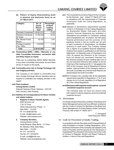

**(b) Pattern of Equity Shareholding (both in physical and electronic form) as on 31st March 2017:**

| Category                                | No. of<br>Equity<br><b>Shares</b><br>held | Percentage<br>of Share<br>holding<br>$(100\%)$ |
|-----------------------------------------|-------------------------------------------|------------------------------------------------|
| Domestic Companies                      | 1,66,82,910                               | 75.82                                          |
| <b>Resident Individuals</b><br>& Trusts | 51,98,238                                 | 23.62                                          |
| Fls, Mutual Funds,<br>Banks             | 16,100                                    | 0.07                                           |
| Foreign Investors/<br>Fils / NRIs       | 1,05,952                                  | 0.49                                           |
| Total                                   | 2,20,03,200                               | 100                                            |

(**xi) Outstanding GDRs / ADRs / Warrants or any other Convertible Instrument, conversion date and likely impact on equity:**

 There are no outstanding GDRs/ ADRs/ Warrants or any other Convertible Instruments. As such there will be no impact on the equity.

**(xii) Commodity price risk or foreign Exchange risk and hedging activities:**

 The Company is not subject to commodity price risk or foreign Exchange risk and therefore was not required to undertake any hedging activities in this regard.

#### **(xiii) Plant locations:**

#### **Umang Dairies Limited**

Gajraula Hasanpur Road, Gajraula – 244 235 Distt. Amroha, Uttar Pradesh.

**(xiv) Address for Correspondence for Share Transfer and related matters:**

#### **1. Registrar & Share Transfer Agents:**

 MAS Services Ltd. T-34, IInd Floor Okhla Industrial Area, Phase – II New Delhi – 110 020 Ph. 011-26387281/82 E-mail: info@masserv.com Website: www.masserv.com

#### **2. Company Secretary**

 Umang Dairies Limited Gulab Bhawan (Rear Block  $-3<sup>rd</sup>$  Floor) 6A, Bahadur Shah Zafar Marg New Delhi – 110 002 Ph. 011- 30179776 Fax No. 011- 23739475 E-mail: csudl@jkmail.com Website: www.umangdairies.com

- **(xv)** This Corporate Governance Report of the Company for the financial year ended 31<sup>st</sup> March 2017 are in compliance with the requirements of Corporate Governance under the Listing Regulations, as applicable.
- **(xvi)** Adoption of discretionary requirements specified in Part E of Schedule II of the Listing Regulations- (a) Shareholder Rights: Half-yearly and other quarterly financial statements are published in newspapers and uploaded on Company's website www.umangdairies.com. At present, the half yearly financial performance and the summary of the significant events in last six months are not sent to each household of shareholders; (b) Modified opinion(s) in audit report: The Company already has a regime of un-qualified financial statements. Auditors have raised no qualification on the financial statements. (c) Separate posts of Chairperson and CEO: At present the Directors of the Company have not elected any permanent Chairman but the Directors present at each meeting elect one of the non-executive Directors then present to be the Chairman of the meeting and Sh. C. Venugopal is the CEO of the Company; and (d) Reporting of Internal Auditor: Internal Auditor of the Company reports to the Audit Committee and Internal Audit Reports are placed before the Audit Committee
- **(xvii)**The Company has complied with all the applicable requirements specified in Regulations 17 to 27 and clauses (b) to (i) of sub–regulation (2) of Regulation 46 of the Listing Regulations.

#### **(xviii)Disclosure with respect to emat suspense account/ unclaimed suspense account**

 The Company does not have any amount lying with respect to demat suspense account/unclaimed suspense account.

#### **13. Declaration:**

It is hereby declared that all the members of the Board and Senior Management personnel have affirmed compliance with the "Code of Conduct for Members of the Board and Senior Management of Umang Dairies Limited" during the Financial Year ended 31st March 2017.

> C. Venugopal Chief Executive Officer

#### **14. Code for Prevention of Insider Trading:**

In accordance with the Securities and Exchange Board of India (Prohibition of Insider Trading) Regulations, 2015, the Board of Directors of the Company has adopted (i) the Code of Practices and Procedures for Fair Disclosure of Unpublished Price Sensitive Information and (ii) the Code of Conduct to Regulate, Monitor and Report Trading by Insiders, in terms of the said Regulations.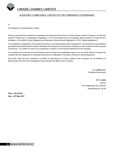#### **AUDITOR'S COMPLIANCE CERTIFICATE ON CORPORATE GOVERNANCE**

To

The Members of Umang Dairies Limited

We have examined the compliance of regulations of Corporate Governance by Umang Dairies Limited ("Company") for the year ended 31<sup>st</sup> March 2017, as stipulated in regulations 17 to 27 and Clause (b) to (i) of regulation 46(2) and Para C, D and Part E of Schedule V of the SEBI (Listing Obligations and Disclosure Requirements) Regulations, 2015 ("Listing Regulations").

The compliance of regulations of Corporate Governance is the responsibility of the management. Our examination was limited to procedures and implementation thereof, adopted by the Company for ensuring the compliance of the conditions of the Corporate Governance. It is neither an audit nor an expression of opinion on the financial statements of the Company.

In our opinion and to the best of our information and according to the explanations given to us, we certify that the Company has complied with the regulations of Corporate Governance as stipulated in the above mentioned Listing Regulations.

We further state that such compliance is neither an assurance as to future viability of the Company nor the efficiency or effectiveness with which the management has conducted the affairs of the Company.

> For **Lodha & Co.** Chartered Accountants

**N. K. Lodha** Partner Firm Registration No.:301051E Membership No. 85155

**Place : New Delhi Date : 26th May 2017**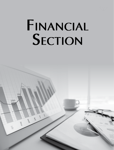

# **FINANCIAL SECTION**

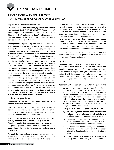## **INDEPENDENT AUDITOR'S REPORT To the Members of UMANG DAIRIES LIMITED**

#### **Report on the Financial Statements**

We have audited the accompanying standalone financial statements of UMANG DAIRIES LIMITED ("the Company"), which comprise the Balance Sheet as at 31<sup>st</sup> March, 2017, the Statement of Profit and Loss, the Cash Flow Statement for the year then ended, and a summary of the significant accounting policies and other explanatory information.

#### **Management's Responsibility for the Financial Statements**

The Company's Board of Directors is responsible for the matters stated in Section 134(5) of the Companies Act, 2013 ("the Act") with respect to the preparation of these financial statements that give a true and fair view of the financial position, financial performance and cash flows of the Company in accordance with the accounting principles generally accepted in India, including the Accounting Standards specified under Section 133 of the Act, read with Rule 7 of the Companies (Accounts) Rules, 2014. This responsibility also includes maintenance of adequate accounting records in accordance with the provisions of the Act for safeguarding the assets of the Company and for preventing and detecting frauds and other irregularities; selection and application of appropriate accounting policies; making judgments and estimates that are reasonable and prudent; and design, implementation and maintenance of adequate internal financial controls, that were operating effectively for ensuring the accuracy and completeness of the accounting records, relevant to the preparation and presentation of the financial statements that give a true and fair view and are free from material misstatement, whether due to fraud or error

#### **Auditor's Responsibility**

Our responsibility is to express an opinion on these standalone financial statements based on our audit.

We have taken into account the provisions of the Act, the accounting and auditing standards and matters which are required to be included in the audit report under the provisions of the Act and the Rules made thereunder.

We conducted our audit in accordance with the Standards on Auditing specified under Section 143(10) of the Act. Those Standards require that we comply with ethical requirements and plan and perform the audit to obtain reasonable assurance about whether the financial statements are free from material misstatement.

An audit involves performing procedures to obtain audit evidence about the amounts and the disclosures in the financial statements. The procedures selected depend on the

auditor's judgment, including the assessment of the risks of material misstatement of the financial statements, whether due to fraud or error. In making those risk assessments, the auditor considers internal financial control relevant to the Company's preparation of the financial statements that give a true and fair view in order to design audit procedures that are appropriate in the circumstances. An audit also includes evaluating the appropriateness of the accounting policies used and the reasonableness of the accounting estimates made by the Company's Directors, as well as evaluating the overall presentation of the standalone financial statements.

We believe that the audit evidence we have obtained is sufficient and appropriate to provide a basis for our audit opinion on the financial statements.

#### **Opinion**

In our opinion and to the best of our information and according to the explanations given to us, the aforesaid standalone financial statements give the information required by the Act in the manner so required and give a true and fair view in conformity with the accounting principles generally accepted in India, of the state of affairs of the Company as at 31st March, 2017, and its profit and its cash flows for the year ended on that date.

#### **Report on Other Legal and Regulatory Requirements**

- 1. As required by the Companies (Auditor's Report) Order, 2016 ("the Order") issued by the Central Government of India in terms of sub section (11) of section 143 the Act, and on the basis of such checks of the books and records of the Company as we considered appropriate and according to the information and explanation given to us during the course of audit, we give in the **Annexure 'A'** statement on the matters specified in the paragraphs 3 and 4 of the Order.
- 2. As required by Section 143(3) of the Act, we report that:
	- (a) We have sought and obtained all the information and explanations which to the best of our knowledge and belief were necessary for the purposes of our audit.
	- (b) In our opinion, proper books of account as required by law have been kept by the Company so far as it appears from our examination of those books.
	- (c) The standalone Balance Sheet, the Statement of Profit and Loss and the Cash Flow Statement dealt with by this Report are in agreement with the books of account.
	- (d) In our opinion, the aforesaid financial statements comply with the Accounting Standards specified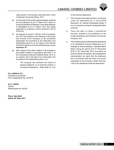under Section 133 of the Act, read with Rule 7 of the Companies (Accounts) Rules, 2014.

- (e) On the basis of the written representations received from the directors as on 31<sup>st</sup> March 2017 taken on record by the Board of Directors, none of the directors is disqualified as on 31<sup>st</sup> March, 2017 from being appointed as a director in terms of Section 164 (2) of the Act;
- (f) As required by section 143(3)(i) of the Companies Act, 2013 and based on the checking of the books and records of the Company as we considered appropriate and according to the information and explanations given to us, our report on the Internal Financial Controls over Financial Reporting is as per **Annexure 'B'.**
- (g) With respect to the other matters to be included in the Auditor's Report in accordance with Rule 11 of the Companies (Audit and Auditors) Rules, 2014, in our opinion and to the best of our information and according to the explanations given to us:
	- i. The company has disclosed the impact of pending litigations on its financial position in its financial statements – Refer Note no. 2.24

**For LODHA & CO.,** Chartered Accountants Firm's Registration No. 301051E

**N. K. LODHA** Partner (Membership No. 85155)

**Place: New Delhi Dated: 26th May, 2017** to the financial statements.

- ii. The Company has made provision, as required under the applicable law or Accounting Standards, for material foreseeable losses, if any, on long-term contracts including derivative contracts.
- iii. There has been no delay in transferring amounts, required to be transferred, to the Investor Education and Protection Fund by the Company; and
- iv. The Company has provided requisite disclosures in its standalone financial statements as to holdings as well as dealings in Specified Bank Notes during the period from 8<sup>th</sup> November 2016 to 30<sup>th</sup> December 2016 and based on audit procedures & relying on the management representation we report that the disclosure are in accordance with the books of accounts maintained by the Company. (Refer Note No. 2.29 to the standalone financial statements).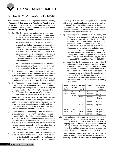

#### **ANNEXURE 'A' TO THE AUDITOR'S REPORT**

**The Annexure referred to in paragraph 1 under the heading "Report on Other Legal and Regulatory Requirements" of our report of even date on the standalone financial statements of Umang Dairies Limited for the year ended 31st March 2017, we report that:**

- (i) (a) The Company has maintained proper records showing full particulars including quantitative details and situation of fixed assets except in case of certain assets where the same is in process of updation.
	- (b) As explained to us, the fixed assets have been physically verified by the management according to a phased Programme designed to cover all the items over a period of three years (except assets lying with third parties read with note no. 2.32) which in our opinion is reasonable having regard to the size of the Company and the nature of its fixed assets. The discrepancies noticed on such physical verification were not material.
	- (c) As per the records and according to the information and explanations given to us, title deeds of immovable properties are held in the name of the Company.
- (ii) The inventories of the Company (except stock lying with third parties and in transit) have been physically verified by the management at reasonable intervals. In our opinion the discrepancies noticed on such physical verification of inventory as compared to book records were not material.
- (iii) The Company has not granted any loan secured or unsecured to any companies, firms, Limited Liability Partnerships or other parties covered in the register maintained under section 189 of the Companies Act, 2013 ('the Act'). Accordingly, we are not offering any comment on the provisions of Clause 3(iii) (a), (b), (c) of the Order.
- (iv) According to the information, explanations and representations provided by the management and based upon audit procedures performed, the company has not given any loans, guarantees and security and has not made any investment under the provisions of the Section 185 and 186 of the Companies Act, 2013.
- (v) In our opinion and according to the information and explanations given to us, the Company has not accepted any deposits from the public within the meaning of Section 73 to 76 of the Act and rules framed there under and the directives issued by Reserve bank of India or any other relevant provisions of the Act. We have been informed that no order has been passed by the Company Law Board or National Company Law Tribunal or Reserve Bank of India or any court or any other tribunal in this regard.
- (vi) We have broadly reviewed the books of account required to be maintained by the company pursuant to the rules made by the Central Government for the maintenance of the cost records under section 148(1) of the Companies

Act in respect of the Company's product to which the said rules are made applicable and are of the opinion that, prima facie, the prescribed records have been made and maintained. We have, however, not made a detailed examination of the said records with a view to determine whether they are accurate or complete.

- (vii) (a) According to the records of the Company and information and explanations given to us, the Company is generally regular in depositing undisputed statutory dues including provident fund, employees' state insurance, income tax, sales tax, service tax, duty of customs, duty of excise, value added tax, entry tax, cess and other material statutory dues with the appropriate authorities to the extent applicable and there were no undisputed statutory dues payable for a period of more than six months from the date they become payable as at 31<sup>st</sup> March 2017 except Mandi Tax of ₹6,23,000/-.
	- (b) According to the records and information & explanations given to us, there are no dues in respect of Service tax, Duty of Customs, Duty of Excise or Value Added Tax that have not been deposited with the appropriate authorities to the extent applicable on account of any dispute and the dues in respect of Income Tax, Sales Tax and that have not been deposited with the appropriate authorities on account of dispute and the forum where the dispute is pending are given below:-

| Name<br>οf<br>Statute | Nature of<br>the dues            | Amount<br>(₹ in<br>Lacs) | Period                | Forum where<br>dispute is<br>pending |
|-----------------------|----------------------------------|--------------------------|-----------------------|--------------------------------------|
| Sales<br>Tax Act      | Sales Tax<br>Demand/<br>Penalty/ | 1.78                     | 1994-95/<br>1998-2000 | Sales Tax<br>Tribunal                |
|                       | Interest                         | 40.65                    | 1995-2007             | Appellate<br>Authorities             |
|                       |                                  | 3.00                     | 1995-96               | <b>High Court</b>                    |
|                       |                                  | 41.74                    | 2010-2015             | Appellate<br>Authorities             |
| Income                | Income                           | 311.20                   | 2011-12               | CIT(Appeal)                          |
| Tax Act               | Tax                              | 393.93                   | 2012-13               | CIT(Appeal)                          |
|                       |                                  | 239.69                   | 2013-14               | CIT(Appeal)                          |

- (viii) In our opinion, on the basis of audit procedure and according to the information and explanations given to us by the management, we are of the opinion that the Company has not defaulted in repayment of loans or borrowing to banks. The company does not have any dues to financial institutions, government or debenture holders – Read with footnote (a) of Note No. 2.3.
- (ix) In our opinion, on the basis of information and explanations given to us, during the year the company did not raised any money by way of initial public offer or further public offer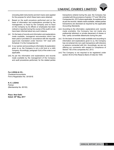

(including debt instruments) and term loans were applied for the purpose for which these loans were obtained.

- x) Based on the audit procedure performed and on the basis of information and explanations provided by the management, no fraud by the Company and no fraud on the Company by its officers or employees has been noticed or reported during the course of the audit nor we have been informed about any such instance.
- (xi) On the basis of records and information and explanations made available, managerial remuneration which has been paid or provided is in accordance with the requisite approvals mandated under Section 197 read with Schedule V to the Companies Act.
- (xii) In our opinion and according to information & explanation given to us, the Company is not a chit fund or a nidhi company. Accordingly, paragraph 3(xii) of the order is not applicable.
- (xiii) As per the information and explanations and records made available by the management of the Company and audit procedures performed, for the related parties

**For LODHA & CO.,** Chartered Accountants Firm's Registration No. 301051E

## **N. K. LODHA**

Partner (Membership No. 85155)

**Place: New Delhi Dated: 26th May, 2017**

transactions entered during the year, the Company has complied with the provisions of section 177 and 188 of the Companies Act, 2013 where applicable. As explained and as per the records / details made available, related parties transactions are disclosed as required by the applicable Accounting Standards.

- (xiv) According to the information, explanations and records made available, the Company has not made any preferential allotment or private placement of shares or fully / partly convertible debentures during the year.
- (xv) On the basis of records made available and according to information and explanations given to us, the Company has not entered into non-cash transactions with directors or persons connected with him. Accordingly, we are not offering our comments with respect to compliance of Section 192 of the companies Act, 2013.
- (xvi) The Company is not required to be registered under section 45-IA of the Reserve Bank of India Act 1934.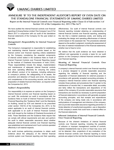

## **ANNEXURE 'B' TO THE INDEPENDENT AUDITOR'S REPORT OF EVEN DATE ON THE STANDALONE FINANCIAL STATEMENTS OF UMANG DAIRIES LIMITED**

**Report on the Internal Financial Controls over Financial Reporting under Clause (i) of Sub-section 3 of Section 143 of the Companies Act, 2013 ("the Act")** 

We have audited the internal financial controls over financial reporting of Umang Dairies Limited ("the Company") as of 31st March 2017 in conjunction with our audit of the standalone financial statements of the Company for the year ended on that date.

#### **Management's Responsibility for Internal Financial Controls**

The Company's management is responsible for establishing and maintaining internal financial controls based on the internal control over financial reporting criteria established by the Company considering the essential components of internal control stated in the Guidance Note on Audit of Internal Financial Controls over Financial Reporting issued by the Institute of Chartered Accountants of India ('ICAI'). These responsibilities include the design, implementation and maintenance of adequate internal financial controls that were operating effectively for ensuring the orderly and efficient conduct of its business, including adherence to company's policies, the safeguarding of its assets, the prevention and detection of frauds and errors, the accuracy and completeness of the accounting records, and the timely preparation of reliable financial information, as required under the Companies Act, 2013.

#### **Auditor's Responsibility**

Our responsibility is to express an opinion on the Company's internal financial controls over financial reporting based on our audit. We conducted our audit in accordance with the Guidance Note on Audit of Internal Financial Controls Over Financial Reporting (the "Guidance Note") and the Standards on Auditing, issued by ICAI and deemed to be prescribed under section 143(10) of the Companies Act, 2013, to the extent applicable to an audit of internal financial controls, both applicable to an audit of Internal Financial Controls and, both issued by the Institute of Chartered Accountants of India. Those Standards and the Guidance Note require that we comply with ethical requirements and plan and perform the audit to obtain reasonable assurance about whether adequate internal financial controls over financial reporting was established and maintained and if such controls operated effectively in all material respects.

Our audit involves performing procedures to obtain audit evidence about the adequacy of the internal financial controls system over financial reporting and their operating effectiveness. Our audit of internal financial controls over financial reporting included obtaining an understanding of internal financial controls over financial reporting, assessing the risk that a material weakness exists, and testing and evaluating the design and operating effectiveness of internal control based on the assessed risk. The procedures selected depend on the auditor's judgment, including the assessment of the risks of material misstatement of the financial statements, whether due to fraud or error.

We believe that the audit evidence we have obtained is sufficient and appropriate to provide a basis for our audit opinion on the Company's internal financial controls system over financial reporting.

#### **Meaning of Internal Financial Controls Over Financial Reporting**

A company's internal financial control over financial reporting is a process designed to provide reasonable assurance regarding the reliability of financial reporting and the preparation of financial statements for external purposes in accordance with generally accepted accounting principles. A company's internal financial control over financial reporting includes those policies and procedures that (1) pertain to the maintenance of records that, in reasonable detail, accurately and fairly reflect the transactions and dispositions of the assets of the company (2) provide reasonable assurance that transactions are recorded as necessary to permit preparation of financial statements in accordance with generally accepted accounting principles, and that receipts and expenditures of the company are being made only in accordance with authorizations of management and directors of the company; and (3) provide reasonable assurance regarding prevention or timely detection of unauthorized acquisition, use or disposition of the company's assets that could have a material effect on the financial statements.

#### **Inherent Limitations of Internal Financial Controls Over Financial Reporting**

Because of the inherent limitations of internal financial controls over financial reporting, including the possibility of collusion or improper management override of controls, material misstatements due to error or fraud may occur and not be detected. Also, projections of any evaluation of the internal financial controls over financial reporting to future periods are subject to the risk that the internal financial control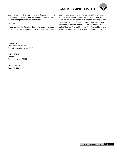

over financial reporting may become inadequate because of changes in conditions, or that the degree of compliance with the policies or procedures may deteriorate.

#### **Opinion**

In our opinion, the Company has, in all material respects, an adequate internal financial controls system over financial reporting and such internal financial controls over financial reporting were operating effectively as at 31<sup>st</sup> March 2017, based on the internal control over financial reporting criteria established by the Company considering the essential components of internal control stated in the Guidance Note on Audit of Internal Financial Controls Over Financial Reporting issued by the Institute of Chartered Accountants of India.

**For LODHA & CO.,** Chartered Accountants Firm's Registration No. 301051E

**N. K. LODHA** Partner (Membership No. 85155)

**Place: New Delhi Date: 26th May, 2017**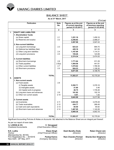

## **Balance Sheet**

**As at 31st March, 2017**

 $(\bar{z}$  in Lac)

|    | <b>Particulars</b>                 |              | <b>Note</b>          | Figures as at the end | Figures as at the end |
|----|------------------------------------|--------------|----------------------|-----------------------|-----------------------|
|    |                                    | No.          | of current reporting | of previous reporting |                       |
|    |                                    |              |                      | period (31.03.2017)   | period (31.03.2016)   |
|    | 1                                  |              | $\overline{2}$       |                       | 4                     |
| ı. | <b>EQUITY AND LIABILITIES</b>      |              |                      |                       |                       |
|    | 1. Shareholders' funds             |              |                      |                       |                       |
|    | (a) Share capital                  |              | 2.1                  | 1,251.16              | 1,459.16              |
|    | (b) Reserves and surplus           |              | 2.2                  | 2,256.82              | 2,088.27              |
|    |                                    |              |                      | 3,507.98              | 3,547.43              |
|    | 2. Non-current liabilities         |              |                      |                       |                       |
|    | (a) Long-term borrowings           |              | 2.3                  | 623.23                | 894.70                |
|    | (b) Deferred tax liabilities (Net) |              |                      | 428.16                | 341.05                |
|    | (c) Other Long term liabilities    |              | 2.4                  | 1,167.69              | 1,114.31              |
|    | (d) Long-term provisions           |              | 2.5                  | 155.26                | 123.99                |
|    |                                    |              |                      | 2,374.34              | 2,474.05              |
|    | 3. Current liabilities             |              |                      |                       |                       |
|    | (a) Short-term borrowings          |              | 2.6                  | 1,771.64              | 811.29                |
|    | (b) Trade payables                 |              | 2.6(a)               | 1,404.56              | 441.81                |
|    | (c) Other current liabilities      |              | 2.7                  | 1,570.62              | 1,769.36              |
|    | (d) Short-term provisions          |              | 2.5                  | 924.23                | 1,126.30              |
|    |                                    |              |                      | 5,671.05              | 4,148.76              |
|    |                                    |              |                      |                       |                       |
|    |                                    | <b>TOTAL</b> |                      | 11,553.37             | 10,170.24             |
| П. | <b>ASSETS</b>                      |              |                      |                       |                       |
|    | 1. Non-current assets              |              |                      |                       |                       |
|    | (a) Fixed assets                   |              | 2.8                  |                       |                       |
|    | (i) Tangible assets                |              |                      | 5,392.71              | 3.378.16              |
|    | (ii) Intangible assets             |              |                      | 21.80                 | 0.46                  |
|    | (iii) Capital work-in-progress     |              |                      | 46.75                 | 1,735.26              |
|    | (b) Long-term loans and advances   |              | 2.9                  | 181.82                | 102.18                |
|    | (c) Other non current assets       |              | 2.10                 | 0.91                  | 1.00                  |
|    |                                    |              |                      | 5,643.99              | 5,217.06              |
|    | 2. Current assets                  |              |                      |                       |                       |
|    | (a) Inventories                    |              | 2.11                 | 3,923.06              | 3,478.49              |
|    | (b) Trade receivables              |              | 2.12                 | 434.77                | 266.49                |
|    | (c) Cash and cash equivalents      |              | 2.13                 | 84.50                 | 65.92                 |
|    | (d) Short-term loans and advances  |              | 2.14                 | 1,467.05              | 1,142.28              |
|    |                                    |              |                      | 5,909.38              | 4,953.18              |
|    |                                    |              |                      |                       |                       |
|    |                                    | <b>TOTAL</b> |                      | 11,553.37             | 10,170.24             |

Significant Accounting Policies & Notes on Accounts 1&2 attached to the Balance Sheet are an integral part thereof.

As per our report of even date.

for **LODHA & CO. C. Venugopal**

*(Chief Executive Officer)* 

N.K. Lodha **N.K. Lodha Diwan Singh Desh Bandhu Doda Ratan Chand Jain**<br>Partner **Director** *(Director) (Director) (Director) (Director) (Director)* (Membership No. 85155)<br>Firm Registration No. – 301051E **Pankaj Kamra** Firm Registration No. – 301051E **Pankaj Kamra Ram Chandra Periwal Sharda Devi Singhania** New Delhi : 26th May, 2017 *(Company Secretary) (Director) (Director)*

*(Chief Financial Officer)*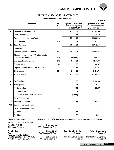## **Profit and loss statement**

**For the Year ended 31st March, 2017**

|       |                                                                                   |                    |                                                                      | $($ ₹ in Lac)                                                         |
|-------|-----------------------------------------------------------------------------------|--------------------|----------------------------------------------------------------------|-----------------------------------------------------------------------|
|       | <b>Particulars</b>                                                                | <b>Note</b><br>No. | Figures as at the end<br>of current reporting<br>period (31.03.2017) | Figures as at the end<br>of previous reporting<br>period (31.03.2016) |
| L.    | <b>Revenue from operations</b>                                                    | 2.15               | 20,996.79                                                            | 18,902.53                                                             |
|       | Less: Excise Duty                                                                 |                    | 1.33                                                                 | 4.10                                                                  |
|       | Revenue from operations (net)                                                     |                    | 20,995.46                                                            | 18,898.43                                                             |
| Ш.    | Other income                                                                      | 2.16               | 47.08                                                                | 43.74                                                                 |
| Ш.    | <b>Total Revenue</b>                                                              |                    | 21,042.54                                                            | 18,942.17                                                             |
| IV.   | <b>Expenses:</b>                                                                  |                    |                                                                      |                                                                       |
|       | Cost of materials consumed                                                        | 2.17               | 15,410.21                                                            | 11,884.35                                                             |
|       | Changes in inventories of finished goods, work-in-<br>progress and Stock-in-Trade | 2.18               | (269.64)                                                             | 848.12                                                                |
|       | Employee benefits expense                                                         | 2.19               | 1,521.01                                                             | 1,271.88                                                              |
|       | Finance costs                                                                     | 2.20               | 116.02                                                               | 62.37                                                                 |
|       | Depreciation and amortization expense                                             | 2.8                | 315.62                                                               | 301.28                                                                |
|       | Other expenses                                                                    | 2.21               | 3,693.66                                                             | 3,421.74                                                              |
|       | <b>Total expenses</b>                                                             |                    | 20,786.88                                                            | 17,789.74                                                             |
|       |                                                                                   |                    |                                                                      |                                                                       |
| V.    | Profit before tax                                                                 |                    | 255.66                                                               | 1,152.43                                                              |
| VI.   | Tax expense:                                                                      |                    | 51.96                                                                | 375.14                                                                |
|       | (1) Current Tax                                                                   |                    | 87.11                                                                | 23.67                                                                 |
|       | (2) Deferred Tax                                                                  |                    |                                                                      | 3.24                                                                  |
|       | (3) Tax adjustments for Earlier Years                                             |                    | (51.96)                                                              |                                                                       |
|       | (4) MAT Credit entitlement                                                        |                    |                                                                      |                                                                       |
| VII.  | Profit for the period                                                             |                    | 168.55                                                               | 750.38                                                                |
| VIII. | Earnings per equity share:                                                        |                    |                                                                      |                                                                       |
|       | Earnings per equity share:                                                        | 2.22               |                                                                      |                                                                       |
|       | $(1)$ Basic                                                                       |                    | 0.77                                                                 | 3.41                                                                  |
|       | (2) Diluted                                                                       |                    | 0.77                                                                 | 3.41                                                                  |

Significant Accounting Policies & Notes on Accounts 1&2 attached to the Balance Sheet are an integral part thereof.

As per our report of even date.

for **LODHA & CO. C. Venugopal**

*(Chief Executive Officer)* 

N.K. Lodha **N.K. Lodha Diwan Singh Desh Bandhu Doda Ratan Chand Jain**<br>Partner **Director** (Chief Financial Officer) **Director** (Director) *(Director*) *(Director*) *(Chief Financial Officer)* (Membership No. 85155)<br>Firm Registration No. – 301051E **Pankaj Kamra** Firm Registration No. – 301051E **Pankaj Kamra Ram Chandra Periwal Sharda Devi Singhania**<br>New Delhi : 26<sup>th</sup> May, 2017 (Company Secretary) (Director) (Director) (Director) New Delhi : 26th May, 2017 *(Company Secretary) (Director) (Director)*

**Annual Report 2016-17** 37

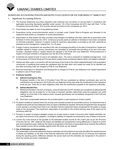#### **Significant Accounting Policies and Notes to Accounts for the year ended 31st March'2017**

#### **1. Significant Accounting Policies**

- 1.1 The financial statements have been prepared under historical cost convention on accrual basis in compliance with applicable Accounting Standards specified under section 133 of the Companies Act,2013 read with Rule 7 of the Companies (Accounts) Rules, 2014 and the relevant provisions of the Companies Act, 2013.
- 1.2 Fixed Assets are stated at cost of acquisition/purchase.
- 1.3 Expenditure during construction/erection period is included under Capital Work-in-Progress and allocated to the respective fixed assets on completion of construction/erection.
- 1.4 Depreciation on fixed assets has been provided using Straight Line Method over their useful life as prescribed under Schedule II of the Companies Act, 2013. Continuous process plants as defined in Schedule II have been considered on technical evaluation. However in respect of plant & machinery, depreciation is provided as per their useful life as assessed by the management, ranging from 3 to 18 years.
- 1.5 Foreign Currency transactions are recorded at the rate of exchange prevailing on the date of transactions. Assets and Liabilities related to foreign currency transactions are translated at exchange rate prevailing at the end of the year. Increase / decrease arising in respect thereof are adjusted in the Profit and Loss Statement. Premium/discount in respect of forward contracts is recognized over the life of the Contracts.
- 1.6 Inventories are valued at lower of cost or net realisable value. The cost is computed on weighted average basis. Cost for the purpose of Finished Goods and Process Stock is determined considering material, labour and related overheads.
- 1.7 Interest and other costs in connection with the borrowing of the funds to the extent related/attributed to the acquisition/ construction of qualifying fixed assets are capitalised upto the date when such assets are ready for its intended use and other borrowing costs are charged to Profit & Loss Statement.
- 1.8 Revenue Expenditure on Research and Development is charged to Profit & Loss Statement and Capital Expenditure is added to cost of Fixed Assets.

#### 1.9 **Employee benefits:**

#### **(i) Defined Contribution Plan:**

Employee benefits in the form of Provident Fund, ESI are considered as defined contribution plan and the contributions are recognized in the Profit and Loss Statement of the year when the contributions to the respective funds are due. There are no other obligations other than the contributions payable to the respective authorities.

**(ii) Defined Benefit Plan:**

Retirement benefits in the form of Gratuity, Leave Encashment and PF (funded) are considered as defined benefit obligations and are provided for on the basis of actuarial valuation determined using the projected unit credit method, as at the date of the balance sheet. Actuarial gains/losses are immediately recognized in the Profit and Loss Statement.

- (iii) Short-term compensated absences are provided based on past experience of leave availed.
- 1.10 An asset is treated as impaired when the carrying cost of assets exceeds its recoverable amount. An impairment loss is charged to the profit and loss Statement when an asset is identified as impaired. Reversal of impairment loss recognised in prior periods is recorded when there is an indication that the impairment losses recognised for the assets no longer exists or has decreased. Post impairment, depreciation is provided on the revised carrying value of the asset over its remaining useful life.
- 1.11 Provision in respect of present obligation arising out of past events is made in Accounts when reliable estimates can be made of the amount of the obligation. Contingent Liabilities (if material) are disclosed by way of Notes to Accounts.
- 1.12 Current Tax is the amount of Tax payable on the estimated taxable income for the current year as per the Provision of Income Tax Act, 1961. Deferred Tax Assets and liabilities are recognised for timing differences in respect of current year and prospective years. Deferred Tax Asset is recognised on the basis of reasonable/virtual certainty that sufficient future taxable income will be available against which the same can be realised.

#### 1.13 **Use of Estimates and Assumptions:**

The presentation of financial statements requires estimates and assumptions to be made that affect the reported amount of assets and liabilities on the date of the financial statements and the reported amount of revenues and expenses during the reporting period. Difference between the actual result and the estimates are recognized in the period in which the results are known /materialized.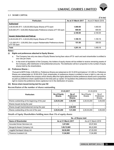

#### **2.1 SHARE CAPITAL**

|                                                                                             |                     | $(3 \nvert \cdot \nvert$ in lac) |
|---------------------------------------------------------------------------------------------|---------------------|----------------------------------|
| <b>Particulars</b>                                                                          | As at 31 March 2017 | As at 31 March 2016              |
| <b>Authorised</b>                                                                           |                     |                                  |
| 3,00,00,000 (P.Y. - 3,00,00,000) Equity Shares of ₹ 5 each                                  | 1,500.00            | 1.500.00                         |
| 6,00,000 (P.Y.- 6,00,000) Redeemable Preference shares of $\bar{\tau}$ 100 each             | 600.00              | 600.00                           |
|                                                                                             | 2,100.00            | 2,100.00                         |
| <b>Issued, Subscribed and Paid-up</b>                                                       |                     |                                  |
| 2,20,03,200 (P.Y.- 2,20,03,200) Equity Shares of ₹5 each                                    | 1,100.16            | 1,100.16                         |
| 1,51,000 (P.Y.- 3,59,000) Zero coupon Redeemable Preference shares<br>of $\bar{x}$ 100 each | 151.00              | 359.00                           |
| Total                                                                                       | 1.251.16            | 1.459.16                         |

#### **Notes:-**

#### **(i) Rights and preferences attached to Equity Shares:**

- a. The Company has only one class of Equity Shares having face value of  $\bar{z}$  5/- each and each shareholder is entitled to one vote per share.
- b. In the event of liquidation of the Company, the holders of equity shares will be entitled to receive remaining assets of the Company, after distribution of all preferential amounts. The distribution will be in proportion to the number of equity shares held by the shareholders.

#### **(ii) Preference Shares :-**

 Pursuant to BIFR Order, 2,08,000 no. Preference Shares are redeemed on 20.10.2016 and balance 1,51,000 no. Preference Shares are redeemable on 30.06.2018. Each shareholder of preference shares is entitled to have a right to vote only on resolutions placed before the company which directly affect the rights attached to his/her preference shares and in proportion as paid up preference share capital bears to the total paid up capital. On liquidation the preference shares have preferential right to receive the preference share capital,but not in the distribution of surplus.

#### **(iii) Bonus share issued during last five year Nil**

#### **Reconciliation of the number of shares outstanding**

|                                                 | 31.03.2017                           |                                             | 31.03.2016                    |                               |
|-------------------------------------------------|--------------------------------------|---------------------------------------------|-------------------------------|-------------------------------|
| <b>Particulars</b>                              | <b>No.of Equity</b><br><b>Shares</b> | No.of<br><b>Preference</b><br><b>Shares</b> | No.of Equity<br><b>Shares</b> | No.of<br>Preference<br>Shares |
| Shares outstanding at the beginning of the year | 2,20,03,200                          | 3,59,000                                    | 2,20,03,200                   | 3,59,000                      |
| Shares Issued during the year                   | ٠                                    |                                             |                               |                               |
| Shares bought back/redeemed during the year     | -                                    | 2,08,000                                    |                               |                               |
| Shares outstanding at the end of the year       | 2,20,03,200                          | 1,51,000                                    | 2,20,03,200                   | 3,59,000                      |

#### **Details of Equity Shareholders holding more than 5% of equity shares**

|                               | No. of Shares held  |                     |  |
|-------------------------------|---------------------|---------------------|--|
| Name of Shareholder           | As at 31 March 2017 | As at 31 March 2016 |  |
| Accurate finman Services Ltd. | 3,97,804            | 25.97.804           |  |
| Bengal & Assam Company Ltd.   | 1,09,72,965         | 99,22,965           |  |
| Juggilal Kamlapat Udyog Ltd.  | 38,50,000           | 27.00.000           |  |
| Florence Investech Ltd.       | 11,94,965           | 11.94.965           |  |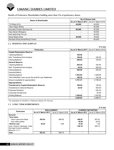#### **Details of Preference Shareholders holding more than 5% of preference shares**

| Name of Shareholder                 | <b>No.of Shares held</b>                  |        |  |
|-------------------------------------|-------------------------------------------|--------|--|
|                                     | As at 31 March 2017   As at 31 March 2016 |        |  |
| T.K.Ruby & Co.                      | 40,000                                    | 40.000 |  |
| Hero Paper Stores                   | ٠                                         | 50,000 |  |
| Accurate Finman Services Ltd.       | 80.000                                    | 23,000 |  |
| Vijay Narain Bhargava               | ٠                                         | 45,000 |  |
| Hero Multi-Pap Pvt.Ltd.             | ۰                                         | 40.000 |  |
| Samji Raishi Karia                  | 26,000                                    | 76.000 |  |
| Hemlata Dhiraj Karia/Dhiraj D.Karia |                                           | 80.000 |  |

#### **2.2 RESERVES AND SURPLUS**

| <b>Particulars</b>                                       | As at 31 March 2017 | As at 31 March 2016 |
|----------------------------------------------------------|---------------------|---------------------|
| <b>Capital Redemption Reserve</b>                        |                     |                     |
| <b>Opening Balance</b>                                   | 100.00              |                     |
| Add: Transferred from Surplus                            | 108.00              | 100.00              |
| Closing Balance*                                         | 208.00              | 100.00              |
| <b>General Reserve</b>                                   |                     |                     |
| <b>Opening Balance</b>                                   | 455.45              | 155.45              |
| Add: Transferred from Surplus                            | 44.55               | 300.00              |
| Closing Balance                                          | 500.00              | 455.45              |
| Surplus/(Deficit)                                        |                     |                     |
| Opening balance                                          | 1,532.82            | 1,448.06            |
| Net Profit/(Net Loss) as per the profit & Loss Statement | 168.55              | 750.38              |
| Amount available for appropriation                       | 1,701.37            | 2,198.44            |
| <b>Appropriations:-</b>                                  |                     |                     |
| <b>Transferred to Capital Redemption Reserve</b>         | 108.00              | 100.00              |
| <b>Transferred to General Reserve</b>                    | 44.55               | 300.00              |
| Proposed Dividend                                        |                     | 220.03              |
| Corporate Dividend tax                                   |                     | 45.59               |
| Closing Balance                                          | 1,548.82            | 1,532.82            |
|                                                          | 2,256.82            | 2,088.27            |

*\* For redemption of 2,08,000 no. Preference Shares of* ` *100 each.* 

#### **2.3 LONG TERM BORROWINGS**

|                                |                     |                     |                                                | וטוווי ווי |  |
|--------------------------------|---------------------|---------------------|------------------------------------------------|------------|--|
|                                |                     | <b>NON CURRENT</b>  | <b>CURRENT MATURITIES</b>                      |            |  |
| <b>Particulars</b>             | As at 31 March 2017 | As at 31 March 2016 | <b>As at 31 March 2017</b> As at 31 March 2016 |            |  |
| Secured                        |                     |                     |                                                |            |  |
| <b>Term loans</b>              |                     |                     |                                                |            |  |
| -Term Loans from Bank          | 583.94              | 890.82              | 488.87                                         | 507.81     |  |
| -from other parties            |                     |                     | 40.00                                          | 40.00      |  |
| Vehicle Loan                   | 39.29               | 3.88                | 10.29                                          | 1.29       |  |
| Less: Amount disclosed under   |                     |                     | 539.16                                         | 549.10     |  |
| I the head Current Liabilities |                     |                     |                                                |            |  |
| [Note No. 2.7 ]                |                     |                     |                                                |            |  |
| l Total                        | 623.23              | 894.70              |                                                |            |  |

 $($ 7 in lac)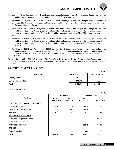

- (a) Loan of  $\bar{\tau}$  40 lac (Previous year  $\bar{\tau}$  40 lac) from a body corporate is secured by a first pari passu charge over the entire moveable properties of the company is payable on demand. Refer Note no.2.23.
- (b) Term Loan of  $\bar{\tau}$  Nil (Previous year  $\bar{\tau}$  41.84 Lac) from Bank was Secured by a first pari passu charge over the entire moveable properties of the Company both present and future and equitable mortgage over the immovable properties in the name of the Company situated at Gajraula.
- (c) Term Loan of  $\bar{\tau}$  84.75 Lac (Previous year  $\bar{\tau}$  175.75 Lac) from Bank is Secured by a first pari passu charge over the entire moveable properties of the Company both present and future and equitable mortgage over the immovable properties in the name of the Company situated at Gajraula, is repayable in quarterly installments of ₹ 22.75 lac each commencing from April, 2015.
- (d) Term Loan of  $\bar{\tau}$  862.44 Lac (Previous year  $\bar{\tau}$  1048.15 Lac) from Bank is Secured by a first pari passu charge over the entire moveable properties of the Company both present and future and equitable mortgage over the immovable properties in the name of the Company situated at Gajraula, is repayable in equal quarterly installments of  $\bar{\tau}$  71.88 lac commencing from June, 2016.
- (e) Term Loan of  $\bar{\tau}$  125.62 Lac (Previous year  $\bar{\tau}$  132.89 Lac) from Bank is Secured by a first pari passu charge over the entire moveable properties of the Company both present and future and equitable mortgage over the immovable properties in the name of the Company situated at Gairaula, is repayable in equal quarterly installments of ₹ 29.15 lac commencing from July, 2016.
- (f) Vehicle Loan of  $\bar{\tau}$  49.58 Lac (Previous year  $\bar{\tau}$  5.17 Lac) from NBFC is secured by way of hypothecation of vehicle purchased thereunder. Loan is repayable in different equal monthly installments including interest,for different loan taken on different rates.

#### **2.4 OTHER LONG TERM LIABILITIES**

|                                  |                     | .                   |
|----------------------------------|---------------------|---------------------|
| <b>Particulars</b>               | As at 31 March 2017 | As at 31 March 2016 |
| Security Deposits                | 203.77              | 150.39              |
| Others $\{ Note no -2.36 (i) \}$ | 963.92              | 963.92              |
| Total                            | 1.167.69            | 1.114.31            |

#### **2.5 PROVISIONS**

**(**` **in lac)**

**(**` **in lac)**

|                                        | <b>LONG-TERM</b>       |                        | <b>SHORT-TERM</b>      |                        |
|----------------------------------------|------------------------|------------------------|------------------------|------------------------|
| <b>Particulars</b>                     | As at<br>31 March 2017 | As at<br>31 March 2016 | As at<br>31 March 2017 | As at<br>31 March 2016 |
| <b>PROVISION FOR EMPLOYEE BENEFITS</b> |                        |                        |                        |                        |
| Gratuity (unfunded)                    | 93.24                  | 77.14                  | 18.97                  | 10.72                  |
| Leave Encashment (unfunded)            | 57.25                  | 43.95                  | 15.36                  | 12.86                  |
| <b>Sick Leave</b>                      | 4.77                   | 2.90                   | 0.22                   | 0.18                   |
| <b>PROVISION FOR DIVIDEND</b>          |                        |                        |                        |                        |
| Provision for Proposed Dividend        |                        |                        |                        | 220.03                 |
| Provision for Dividend Tax             |                        |                        |                        | 44.79                  |
| <b>PROVISION FOR TAX</b>               |                        |                        | 883.45                 | 831.49                 |
| <b>OTHERS</b>                          |                        |                        |                        |                        |
| <b>Other Provision</b>                 |                        |                        | 6.23                   | 6.23                   |
| Total                                  | 155.26                 | 123.99                 | 924.23                 | 1,126.30               |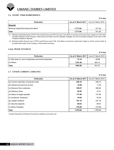

#### **2.6 SHORT-TERM BORROWINGS**

#### **(**` **in lac)**

| <b>Particulars</b>                   | As at 31 March 2017 | As at 31 March 2016 |  |
|--------------------------------------|---------------------|---------------------|--|
| Secured                              |                     |                     |  |
| Working Capital Borrowing from Bank* | 1.771.64            | 811.29              |  |
| <b>Total</b>                         | 1.771.64            | 811.29              |  |

*\* (i) Working Capital Borrowing of* `*1071.64 Lacs(Previous year* `*811.29 Lacs) from Bank is secured by first pari passu charge over the entire movable properties of the Company both present and future and the equitable mortgage over the immovable properties in the name of the Company situated at Gajraula.*

 *(ii) Working Capital demand Loan of* `*700 Lacs(Previous year* ` *Nil) from Bank is secured by subservient charge on all the current assets & movable fixed assets of the Company both present and future.*

#### **2.6(a) TRADE PAYABLES**

#### **(**` **in lac)**

| <b>Particulars</b>                                        | As at 31 March 2017 | As at 31 March 2016 |
|-----------------------------------------------------------|---------------------|---------------------|
| (i) Total dues of micro enterprises and small enterprises | 73.10               | 58.68               |
| $(iii)$ Others                                            | 1331.46             | 383.13              |
| <b>Total</b>                                              | 1404.56             | 441.81              |

#### **2.7 OTHER CURRENT LIABILITIES**

#### **(**` **in lac)**

| <b>Particulars</b>                       | As at 31 March 2017 | As at 31 March 2016 |
|------------------------------------------|---------------------|---------------------|
| (a) Current maturities of long-term debt | 539.16              | 549.10              |
| (b) Interest accrued but not due         | 14.69               | 11.00               |
| (c) Advance from customers               | 339.57              | 498.46              |
| (d) Statutory Dues                       | 49.29               | 32.31               |
| (e) Salary & wages payable               | 111.98              | 101.89              |
| (f) Unclaimed dividends *                | 34.82               | 25.36               |
| (g) Capital Creditors                    | 101.19              | 237.18              |
| (h) Security deposits                    | 69.03               | 98.07               |
| (i) Others Payables                      | 310.89              | 215.99              |
| <b>Total</b>                             | 1,570.62            | 1.769.36            |

*\* Investor Education & Protection fund will be credited as and when due*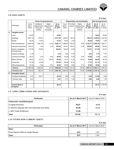

#### **2.8 FIXED ASSETS**

|    |                                           | <b>Gross Carrying Amount</b><br>Depreciation and amortization |                                                   |                                               |                            | <b>Net Carrying Amount</b> |                   |                                               |                            |                                   |                            |
|----|-------------------------------------------|---------------------------------------------------------------|---------------------------------------------------|-----------------------------------------------|----------------------------|----------------------------|-------------------|-----------------------------------------------|----------------------------|-----------------------------------|----------------------------|
|    | <b>Particulars</b>                        | As at<br>April 1,<br>2016                                     | Additions/<br>Adjustments<br>during the<br>period | Sales/<br>Adjustments<br>during<br>the period | As at<br>March<br>31, 2017 | As at<br>April 1,<br>2016  | For the<br>period | Sales/<br>Adjustments<br>during the<br>period | As at<br>March<br>31, 2017 | As at<br><b>March</b><br>31, 2017 | As at<br>March<br>31, 2016 |
| a. | <b>Tangible Assets</b>                    |                                                               |                                                   |                                               |                            |                            |                   |                                               |                            |                                   |                            |
|    | Land                                      | 35.83                                                         |                                                   |                                               | 35.83                      |                            |                   |                                               |                            | 35.83                             | 35.83                      |
|    | <b>Buildings</b>                          | 1,867.23                                                      | 270.07                                            |                                               | 2,137.30                   | 645.55                     | 55.23             |                                               | 700.78                     | 1,436.52                          | 1,221.68                   |
|    | Roads                                     | 30.29                                                         | 10.93                                             |                                               | 41.22                      | 24.83                      | 1.45              |                                               | 26.28                      | 14.94                             | 5.46                       |
|    | Plant & Machinery                         | 3.824.76                                                      | 1.867.95                                          | 11.60                                         | 5.681.11                   | 1.998.65                   | 135.67            | 9.55                                          | 2.124.77                   | 3.556.34                          | 1.826.11                   |
|    | Laboratory Equipment                      | 334.31                                                        | 1.46                                              | 0.75                                          | 335.02                     | 181.67                     | 85.61             | 0.46                                          | 266.82                     | 68.20                             | 152.64                     |
|    | Electric Installation<br>& Equipments     | 173.76                                                        | 80.54                                             |                                               | 254.30                     | 128.53                     | 8.48              |                                               | 137.01                     | 117.29                            | 45.23                      |
|    | Pipeline & Fittings                       | 3.76                                                          |                                                   |                                               | 3.76                       | 1.85                       | 0.18              |                                               | 2.03                       | 1.73                              | 1.91                       |
|    | Furniture & Fittings                      | 39.31                                                         | 2.18                                              | 0.55                                          | 40.94                      | 33.28                      | 0.79              | 0.23                                          | 33.84                      | 7.10                              | 6.03                       |
|    | <b>Motor Vehicles</b>                     | 65.07                                                         | 67.81                                             | 38.36                                         | 94.52                      | 15.37                      | 11.22             | 16.10                                         | 10.49                      | 84.03                             | 49.70                      |
|    | Computers                                 | 78.16                                                         | 45.29                                             |                                               | 123.45                     | 60.98                      | 10.74             |                                               | 71.72                      | 51.73                             | 17.18                      |
|    | <b>Office Equipments</b>                  | 45.34                                                         | 7.82                                              | 0.53                                          | 52.63                      | 28.95                      | 4.82              | 0.14                                          | 33.63                      | 19.00                             | 16.39                      |
|    | Total (a)                                 | 6,497.82                                                      | 2,354.05                                          | 51.79                                         | 8,800.08                   | 3,119.66                   | 314.19            | 26.48                                         | 3,407.37                   | 5,392.71                          | 3,378.16                   |
|    | <b>Previous Year</b>                      | 6,179.27                                                      | 365.75                                            | 47.20                                         | 6,497.82                   | 2,835.00                   | 300.04            | 15.38                                         | 3,119.66                   | 3,378.16                          | 3,344.28                   |
| b. | <b>Intangible Assets</b>                  |                                                               |                                                   |                                               |                            |                            |                   |                                               |                            |                                   |                            |
|    | <b>Computer Softwares</b>                 | 5.41                                                          | 22.77                                             |                                               | 28.18                      | 4.95                       | 1.43              |                                               | 6.38                       | 21.80                             | 0.46                       |
|    | Previous Year                             | 5.41                                                          |                                                   |                                               | 5.41                       | 3.71                       | 1.24              |                                               | 4.95                       | 0.46                              | 1.70                       |
|    |                                           |                                                               |                                                   |                                               |                            |                            |                   |                                               |                            |                                   |                            |
|    | <b>Capital Work In</b><br><b>Progress</b> |                                                               |                                                   |                                               | 46.75                      |                            |                   |                                               |                            | 46.75                             | 1.735.26                   |

#### **2.9 LONG-TERM LOANS AND ADVANCES**

**(**` **in lac)**

| <b>Particulars</b>                                    | As at 31 March 2017 | As at 31 March 2016 |
|-------------------------------------------------------|---------------------|---------------------|
| Unsecured, considered good                            |                     |                     |
| a.Capital Advances                                    | 65.87               | 38.69               |
| b. Security Deposits with Govt authorities and others | 63.99               | 63.49               |
| l c. MAT Credit Entitlement                           | 51.96               |                     |
| <b>Total</b>                                          | 181.82              | 102.18              |

#### **2.10 OTHER NON-CURRENT ASSETS**

|                                      |                                           | (₹ in lac) |
|--------------------------------------|-------------------------------------------|------------|
| <b>Particulars</b>                   | As at 31 March 2017   As at 31 March 2016 |            |
| <b>Other</b>                         |                                           |            |
| Fixed Deposit (Held as margin Money) | 0.91                                      | 1.00       |
| <b>Total</b>                         | 0.91                                      | 1.00       |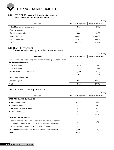

#### **2.11 INVENTORIES (As certified by the Management)**

 **(Lower of cost and net realisable value)**

|                                 |                     | $($ ₹ in lac)       |
|---------------------------------|---------------------|---------------------|
| <b>Particulars</b>              | As at 31 March 2017 | As at 31 March 2016 |
| a. Raw Materials and components | 84.68               | 20.76               |
| b. Work-in-progress             |                     |                     |
| - Semi Processed Milk           | 86.11               | 100.99              |
| c. Finished goods               | 3,235.01            | 2,950.87            |
| d. Stores and spares            | 517.26              | 405.87              |
| <b>Total</b>                    | 3,923.06            | 3.478.49            |

#### **2.12 TRADE RECEIVABLES**

 **(Unsecured considered good, unless otherwise stated)**

| <b>Particulars</b>                                                                              | As at 31 March 2017 | As at 31 March 2016 |
|-------------------------------------------------------------------------------------------------|---------------------|---------------------|
| Trade receivables outstanding for a period exceeding six months from<br>the due date of payment |                     |                     |
| Considered good                                                                                 | 25.44               | 3.43                |
| Considered doubtful                                                                             | 3.97                | 3.97                |
| Less: Provision for doubtful debts                                                              | (3.97)              | (3.97)              |
|                                                                                                 | 25.44               | 3.43                |
| <b>Other Trade receivables</b>                                                                  |                     |                     |
| Considered good                                                                                 | 409.33              | 263.06              |
| <b>Total</b>                                                                                    | 434.77              | 266.49              |

**(**` **in lac)**

## **2.13 CASH AND CASH EQUIVALENTS**

|                                                                                                                                             |                     | (₹ in lac)          |
|---------------------------------------------------------------------------------------------------------------------------------------------|---------------------|---------------------|
| <b>Particulars</b>                                                                                                                          | As at 31 March 2017 | As at 31 March 2016 |
| <b>CASH AND CASH EQUIVALENTS</b>                                                                                                            |                     |                     |
| a. Balances with banks                                                                                                                      | 41.32               | 26.27               |
| b. Cheque in hand                                                                                                                           | 0.50                | 10.78               |
| c. Unclaimed dividend account                                                                                                               | 34.82               | 25.36               |
| d. Cash on hand                                                                                                                             | 3.07                | 2.60                |
|                                                                                                                                             | 79.71               | 65.01               |
| <b>OTHER BANK BALANCES</b>                                                                                                                  |                     |                     |
| - Deposits with original maturity of more than 3 months but less than<br>12 months (₹1.14 lac, Prev. Year ₹ 0.91 lac) Held as margin money. | 4.79                | 0.91                |
| - Deposits with original maturity of more than 12 months                                                                                    | 0.91                | 1.00                |
| Less: - Amount disclosed under the head other non-current assets.                                                                           | (0.91)              | (1.00)              |
| Total                                                                                                                                       | 84.50               | 65.92               |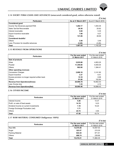## **2.14 SHORT-TERM LOANS AND ADVANCES (unsecured considered good, unless otherwise stated)**

|                                       |                     | $($ ₹ in lac)       |
|---------------------------------------|---------------------|---------------------|
| <b>Particulars</b>                    | As at 31 March 2017 | As at 31 March 2016 |
| <b>Considered good</b>                |                     |                     |
| Income Tax Advances payment/TDS       | 1,282.17            | 1,053.35            |
| Sales Tax/Vat Recoverable             | 29.36               | 25.62               |
| Interest receivable                   | 5.68                | 5.35                |
| Export Incentive receivable           | 7.98                | 9.27                |
| Others                                | 141.86              | 48.69               |
| <b>Considered doubtful</b>            |                     |                     |
| Others                                | 3.49                | 3.49                |
| Less: Provision for doubtful advances | (3.49)              | (3.49)              |
| Total                                 | 1.467.05            | 1.142.28            |

#### **2.15 REVENUE FROM OPERATIONS**

|                                                  |                                     | (₹ in lac)                          |
|--------------------------------------------------|-------------------------------------|-------------------------------------|
| <b>Particulars</b>                               | For the year ended<br>31 March 2017 | For the year ended<br>31 March 2016 |
| Sale of products                                 |                                     |                                     |
| Ghee                                             | 5,935.68                            | 4,853.25                            |
| Powder                                           | 11,359.80                           | 9,405.04                            |
| <b>Others</b>                                    | 902.80                              | 1,384.41                            |
| Other operating revenues                         |                                     |                                     |
| <b>Conversion Charges</b>                        | 2,688.16                            | 3,141.60                            |
| <b>Export Incentive</b>                          | 3.37                                | 6.41                                |
| Excess provision no longer required written back | 15.18                               | 8.98                                |
| Others                                           | 91.80                               | 102.84                              |
| <b>Revenue from Operations (Gross)</b>           | 20,996.79                           | 18,902.53                           |
| Less: Excise duty                                | 1.33                                | 4.10                                |
| <b>Revenue from Operations (Net)</b>             | 20.995.46                           | 18.898.43                           |

#### **2.16 OTHER INCOME**

| <b>Particulars</b>                     | For the year ended<br>31 March 2017 | For the year ended<br>31 March 2016 |
|----------------------------------------|-------------------------------------|-------------------------------------|
| Interest Income                        | 5.26                                | 14.37                               |
| Profit on sale of fixed assets         | 14.19                               | 9.23                                |
| Dividend Income on current investments | 1.18                                | 16.20                               |
| Foreign Exchange Fluctuation (net)     | 1.71                                |                                     |
| <b>Others</b>                          | 24.74                               | 3.94                                |
| <b>Total</b>                           | 47.08                               | 43.74                               |

#### **2.17 RAW MATERIAL CONSUMED (Indigenous 100%)**

|                         |                                     | $($ ₹ in lac)                       |
|-------------------------|-------------------------------------|-------------------------------------|
| <b>Particulars</b>      | For the year ended<br>31 March 2017 | For the year ended<br>31 March 2016 |
| <b>Raw Milk</b>         | 13,575.46                           | 10,557.43                           |
| Sugar                   | 323.57                              | 215.35                              |
| <b>Packing Material</b> | 822.44                              | 871.61                              |
| Others                  | 688.74                              | 239.96                              |
| <b>Total</b>            | 15,410.21                           | 11,884.35                           |



**(**` **in lac)**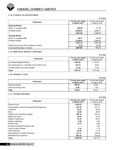

#### **2.18 CHANGE IN INVENTORIES**

| <b>Particulars</b>                        | For the year ended | For the year ended |
|-------------------------------------------|--------------------|--------------------|
|                                           | 31 March 2017      | 31 March 2016      |
| <b>Opening Stocks</b>                     |                    |                    |
| Work- in- progress-Milk                   | 100.99             | 61.36              |
| <b>Finished Goods</b>                     | 2,950.87           | 3,838.17           |
|                                           | 3,051.86           | 3,899.53           |
| <b>Closing Stocks</b>                     |                    |                    |
| Work- in- progress-Milk                   | 86.11              | 100.99             |
| <b>Finished Goods</b>                     | 3.235.01           | 2,950.87           |
|                                           | 3,321.12           | 3,051.86           |
| Add/(Less): Excise Duty Variance on Stock | 0.38               | (0.45)             |
| (Increase)/Decrease in Stocks             | (269.64)           | 848.12             |

#### **2.19 EMPLOYEE BENEFIT EXPENSES**

| <b>Particulars</b>                                 | For the year ended<br>31 March 2017 | For the year ended<br>31 March 2016 |
|----------------------------------------------------|-------------------------------------|-------------------------------------|
| l (a) Salaries/Wages & Bonus                       | 1.393.95                            | 1.174.75                            |
| (b) Contributions to - Provident fund & Other Fund | 103.74                              | 78.60                               |
| (c) Staff welfare and other benefits               | 23.32                               | 18.53                               |
| <b>Total</b>                                       | 1.521.01                            | 1.271.88                            |

#### **2.20 FINANCE COST**

| <b>Particulars</b>    | For the year ended<br>31 March 2017 | For the year ended<br>31 March 2016 |
|-----------------------|-------------------------------------|-------------------------------------|
| Interest expense      | 109.54                              | 54.88                               |
| Other borrowing costs | 6.48                                | 7.49                                |
| l Total               | 116.02                              | 62.37                               |

#### **2.21 OTHER EXPENSES**

|                                                |                                     | $($ ₹ in lac)                       |
|------------------------------------------------|-------------------------------------|-------------------------------------|
| <b>Particulars</b>                             | For the year ended<br>31 March 2017 | For the year ended<br>31 March 2016 |
| Power & Fuel                                   | 1,670.25                            | 1,668.26                            |
| Consumption of stores & spares(100%Indigenous) | 397.39                              | 327.77                              |
| Insurance                                      | 32.25                               | 30.95                               |
| l Rent                                         | 39.29                               | 29.50                               |
| Freight and Forwarding charges                 | 380.18                              | 353.10                              |
| Rates and Taxes                                | 30.90                               | 15.02                               |
| Repair to Machinery                            | 81.24                               | 65.37                               |
| Repair to Building                             | 8.49                                | 5.84                                |
| Director fees                                  | 11.73                               | 12.02                               |
| Foreign exchange fluctuation (net)             |                                     | 3.52                                |
| Loss on sale of Assets                         | 2.24                                | 2.18                                |
| <b>CSR Expenses</b>                            | 22.49                               | 13.74                               |
| Advertisement & Sales Promotion                | 213.11                              | 216.38                              |
| Miscellaneous Expenses                         | 804.10                              | 678.09                              |
| <b>Total</b>                                   | 3,693.66                            | 3.421.74                            |

**(**` **in lac)**

**(**` **in lac)**

**(**` **in lac)**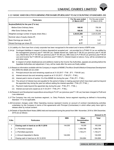#### **2.22 BASIC AND DILUTED EARNING PER SHARE (PURSUANT TO ACCOUNTING STANDARD-20)**

| <b>Particulars</b>                                     | For the year ended<br>31 March 2017 | For the year ended<br>31 March 2016 |
|--------------------------------------------------------|-------------------------------------|-------------------------------------|
| Surplus/(Deficit) for the year $(\bar{\zeta})$ in lac) |                                     |                                     |
| -Before Extra Ordinary Items                           | 168.55                              | 750.38                              |
| -After Extra Ordinary Items                            | 168.55                              | 750.38                              |
| Weighted average number of equity share (Nos.)         | 2,20,03,200                         | 2,20,03,200                         |
| Nominal value of equity shares $(\bar{\tau})$          | 5                                   | 5                                   |
| Basic Earnings per share $(\bar{\tau})$                | 0.77                                | 3.41                                |
| Diluted Earnings per share $(\bar{\tau})$              | 0.77                                | 3.41                                |

**2.23** Liability of a Term loan from a body corporate has been recognized to the extent and in terms of BIFR order.

- **2.24** (a) Contingent liabilities in respect of claims disputed/not accepted and not provided for is ₹1648.10 Lac as certified by the management (previous year  $\bar{\tau}$  1405.96 Lac). Details thereof are, Sales tax  $\bar{\tau}$  106.30 Lac (previous year  $\bar{\tau}$  145.84 Lac), Mandi fee (U.P.) ₹ 181.66 Lac (previous year ₹ 181.66 Lac), Milk Cess (U.P.) ₹ 69.25 Lac (previous year ₹ 69.25 Lac) and Income Tax  $\bar{\tau}$  1290.90 Lac (previous year  $\bar{\tau}$  1009.21). Interest impact on above, if any, will be considered as and when arise.
	- **(b)** In respect of certain disallowances and additions made by the Income Tax Authorities, appeals are pending before the Appellate Authorities and adjustment, if any, will be made after the same are finally settled.
- **2.25** Based on information available with the Company in respect of MSME (The Micro Small & Medium Enterprises Development Act, 2006) the details are as under:
	- (i) Principal amount due and remaining unpaid as at 31.03.2017 ₹ Nil (P.Y. ₹ 64.60 Lac).
	- (ii) Interest amount due and remaining unpaid as at  $31.03.2017 \overline{5}$  Nil (P.Y.  $\overline{5}$  NIL).
	- (iii) Interest paid in terms of section 16 of the MSME Act during the year  $\bar{\tau}$  NIL (P.Y.  $\bar{\tau}$  NIL).
	- (iv) The amount of interest due and payable for the period of delay in making payment which have been paid but beyond the appointed day during the year but without adding the interest specified  $-\bar{\tau}$  NIL (P.Y.  $\bar{\tau}$  NIL).
	- (v) Payment made beyond the appointed day during the year  $\bar{\tau}$  NIL (P.Y.  $\bar{\tau}$  NIL).
	- (vi) Interest accrued and unpaid as at 31.03.2017 ₹ NIL (P.Y. ₹ NIL).
- 2.26 Research and Development expenditure amounting to ₹2.67 Lac (previous year ₹1.36 Lac) has been charged to Profit and Loss statement.
- **2.27** The Company has only one business segment, i.e. Dairy Products, hence segment reporting as defined in Accounting Standard -17 is not applicable.
- **2.28** Conversion charges under Other Operating revenue represent income on account of contract manufacturing activities undertaken by the Company in terms of the agreements with Principal (Contractees) in which either party have right to release other by mutual consent.
- **2.29** Details of Specified Bank Notes (SBN) held and transacted during the period from 08th November, 2016 to 30th December, 2016 are as follows:-

| S.No. | <b>Particulars</b>                    | <b>SBN</b>      | <b>Other</b><br><b>Denomination</b><br><b>Notes</b> | <b>Total</b> |
|-------|---------------------------------------|-----------------|-----------------------------------------------------|--------------|
|       | Closing cash in hand as on 08.11.2016 | 144.000         | 19,309                                              | 163,309      |
| 2     | (+) Permitted receipts                |                 | 1,508,766                                           | 1,508,766    |
| 3     | (-) Permitted payments                |                 | 1,193,211                                           | 1,193,211    |
| 4     | (-) Amount deposited in Banks         | 144.000         | $\overline{\phantom{0}}$                            | 144,000      |
| 5     | Closing cash in hand as on 30.12.2016 | $\qquad \qquad$ | 334,864                                             | 334,864      |

**Amount in (**`**)**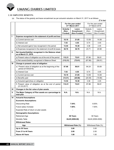#### **2.30 EMPLOYEE BENEFITS:**

(a) The status of the gratuity and leave encashment as per actuarial valuation on March 31, 2017 is as follows:

|    |                                                                                  |                              |                                            |                              | $(3\overline{5})$ in lac)                         |
|----|----------------------------------------------------------------------------------|------------------------------|--------------------------------------------|------------------------------|---------------------------------------------------|
|    |                                                                                  |                              | For the year ended<br>31st March 2017      |                              | For the year ended<br>31 <sup>st</sup> March 2016 |
|    |                                                                                  | Gratuity<br>(Non-<br>Funded) | Leave<br><b>Encashment</b><br>(Non-Funded) | Gratuity<br>(Non-<br>Funded) | Leave<br>Encashment<br>(Non-Funded)               |
| т  | Expense recognized in the statement of profit and loss                           |                              |                                            |                              |                                                   |
|    | a) Current service cost                                                          | 18.19                        | 21.85                                      | 13.59                        | 14.08                                             |
|    | b) Interest cost                                                                 | 7.03                         | 4.55                                       | 6.74                         | 4.45                                              |
|    | c) Net actuarial (gain)/ loss recognized in the period                           | 13.54                        | 10.38                                      | 3.38                         | 2.45                                              |
|    | d) Expenses recognized in the statement of profit & losses                       | 38.76                        | 36.78                                      | 23.71                        | 20.98                                             |
| Ш  | Net Assets/(liability) recognized in the Balance sheet<br>as at March 31, 2016.  |                              |                                            |                              |                                                   |
|    | a) Present value of obligation as at the end of the period                       | 112.21                       | 72.61                                      | 87.86                        | 56.81                                             |
|    | b) Net assets/(liability) recognized in Balance Sheet                            | (112.21)                     | (72.61)                                    | (87.86)                      | (56.81)                                           |
| Ш  | Change in present value of obligation                                            |                              |                                            |                              |                                                   |
|    | a) Present value of obligation as at the beginning of the<br>period (01/04/2016) | 87.86                        | 56.81                                      | 84.24                        | 55.69                                             |
|    | b) Interest Cost                                                                 | 7.03                         | 4.55                                       | 6.74                         | 4.45                                              |
|    | c) Current service cost                                                          | 18.19                        | 21.85                                      | 13.59                        | 14.08                                             |
|    | d) Benefits paid                                                                 | (14.41)                      | (20.98)                                    | (20.09)                      | (19.86)                                           |
|    | e) Actuarial (gain)/loss on obligation                                           | 13.54                        | 10.38                                      | 3.38                         | 2.45                                              |
|    | f) Present value of obligation as at the end of period<br>(31.03.2017)           | 112.21                       | 72.61                                      | 87.86                        | 56.81                                             |
| IV | Changes in the fair value of plan assets                                         |                              |                                            |                              |                                                   |
| v  | The Major Category of Plan assets as a percentage to<br>total plan               | N.A.                         | N.A.                                       | N.A.                         | N.A.                                              |
| VI | <b>Actuarial Assumptions</b>                                                     |                              |                                            |                              |                                                   |
|    | <b>Economic Assumptions:</b>                                                     |                              |                                            |                              |                                                   |
|    | <b>Discounting Rate</b>                                                          |                              | 7.54%                                      | 8.00%                        |                                                   |
|    | Future salary Increase                                                           |                              | 7.00%                                      | 7.00%                        |                                                   |
|    | Expected Rate of return on plan assets                                           |                              |                                            |                              |                                                   |
|    | <b>Demographic Assumptions:</b>                                                  |                              |                                            |                              |                                                   |
|    | <b>Retirement Age</b>                                                            | 60 Years                     |                                            |                              | 60 Years                                          |
|    | Mortality Table                                                                  | IALM (2006-08)               |                                            |                              | IALM (2006-2008)                                  |
|    | <b>Withdrawal Rates</b>                                                          |                              |                                            |                              |                                                   |
|    | Age                                                                              |                              | Withdrawal Rate (%)                        |                              | Withdrawal Rate (%)                               |
|    | Up to 30 Years                                                                   |                              | 3.00                                       |                              | 3.00                                              |
|    | From 31 to 44 Years                                                              |                              | 2.00                                       |                              | 2.00                                              |
|    | Above 44 Years                                                                   | 1.00                         |                                            | 1.00                         |                                                   |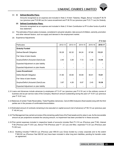#### (b) **(i) Defined Benefits Plans:**

Amounts recognised as an expense and included in Note 2.19 item "Salaries, Wages, Bonus" included ₹ 36.78 Lac (previous year ₹ 20.98 Lac) for Leave encashment and ₹ 38.76 Lac (previous year ₹ 23.71 Lac) for Gratuity.

#### **(ii) Defined Contribution Plans:**

Amounts recognised as an expense and included in Note 2.19 item Contribution to PF & other funds of profit & loss statement.

- (c) The estimates of future salary increases, considered in actuarial valuation, take account of inflation, seniority, promotion and other relevant factors, such as supply and demand in the employment market.
- (d) Experience Adjustments

| Particulars                            | 2012-13 | 2013-14 | 2014-15 | 2015-16 | 2016-17 |
|----------------------------------------|---------|---------|---------|---------|---------|
| <b>Gratuity Funded</b>                 |         |         |         |         |         |
| Defined Benefit Obligation             | 50.28   | 62.32   | 84.24   | 87.86   | 112.21  |
| Fair Value of plan Assets              |         |         |         |         |         |
| Surplus/Deficit (Actuarial (Gain)/Loss | 2.40    | 3.26    | 7.72    | 3.38    | 13.54   |
| Expected Adjustment on plan liability  |         |         |         |         |         |
| Expected Adjustment on plan Assets     |         |         |         |         |         |
| <b>Leave Encashment</b>                |         |         |         |         |         |
| Defind Benefit Obligation              | 31.80   | 40.60   | 55.69   | 56.81   | 72.61   |
| Fair Value of plan Assets              |         |         |         |         |         |
| Surplus/Deficit (Actuarial (Gain)/Loss | 3.87    | 4.26    | 6.87    | 2.45    | 10.38   |
| Expected Adjustment on plan liability  |         |         |         |         |         |

- 2.31 Loans and Advances include advances to employees of ₹ 2.47 Lac (previous year ₹ 6.19 Lac) in the ordinary course of business and as per service rules of the Company. Maximum amount outstanding during the year is ₹ 10.91 Lac (previous year ₹ 10.81 Lac).
- **2.32** Balances of certain Trade Receivables, Trade Payables /advances, Cans & Milk Analyzers (fixed assets) lying with the third parties are in the process of confirmation/reconciliation.
- 2.33 Estimated amount of contracts remaining to be executed on capital account (net of advance) is ₹85.10 Lac (previous year ₹ 145.44 Lac).
- **2.34** The Management has carried out review of the remaining useful lives of its Fixed assets and its value in use. As the recoverable amount as per projections exceeds the carrying amount, no impairment has been provided for in these accounts.
- 2.35 Prior period expenses included in respective heads of accounts includes Rent ₹ 0.16 Lac (Previous year ₹ Nil), Interest ` Nil (Previous year ` 0.93 Lac), Bonus ` Nil (Previous year ` 1.22 Lac) and Misc. expenses ` 0.33 Lac (Previous year ₹4.92 Lac).
- 2.36 (i) Building includes  $\bar{\tau}$  959.03 Lac (Previous year 959.03 Lac) Gross funded by a body corporate and to the extent ` 963.92 Lac (Previous Year 963.92 Lac) have been included in other long term liabilities, pending for transfer under an agreement.

**(**` **in lac)**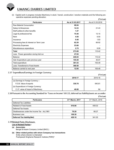(ii) Capital work in progress includes Machinery in stock / transit, construction / erection materials and the following preoperative expenses pending allocation:

|                                         |                  | $(3 \nvert \cdot \nvert$ Lac) |
|-----------------------------------------|------------------|-------------------------------|
| <b>Particulars</b>                      | As at 31.03.2017 | As at 31.03.2016              |
| Raw Material Consumption                | 68.04            |                               |
| Salary & Allowances                     | 14.33            | 21.43                         |
| Staff welfare & other benefits          | 1.47             |                               |
| Legal & professional fee                | 75.48            | 13.15                         |
| Rent                                    | 4.58             | 6.00                          |
| Insurance                               | 0.48             | 1.83                          |
| Processing fees & Interest on Term Loan | 82.29            | 66.92                         |
| <b>Electricity Expenses</b>             | 23.66            |                               |
| Miscellaneous expenditure               | 2.75             | 6.09                          |
| Total                                   | 273.08           | 115.42                        |
| Less: Power generation during trial run | 47.04            |                               |
| <b>Balance</b>                          | 226.04           | 115.42                        |
| Add: Expenditure upto previous year     | 155.49           | 40.07                         |
| Total expenditure                       | 381.53           | 155.49                        |
| Less: Transferred to Fixed Assets       | 368.58           |                               |
| Balance carried to next year            | 12.95            | 155.49                        |

#### **2.37 Expenditure/Earnings in Foreign Currency**

**(**` **in Lac)**

|                                     | 2016-17 | 2015-16 |
|-------------------------------------|---------|---------|
| (a) Earnings in Foreign Currency :- |         |         |
| F.O.B. Value of exports             | 330.78  | 640.81  |
| (b) Expenditure in Foreign Currency |         |         |
| C.I.F. value of Import of Machinery | 46.88   | Nil     |

**2.38 Pursuant to the Accounting Standard for 'Taxes on Income' (AS 22), deferred tax liability/assets are as under: (**` **In Lac)**

| <b>Particulars</b>                           | 31 <sup>st</sup> March, 2017 | 31 <sup>st</sup> March, 2016 |
|----------------------------------------------|------------------------------|------------------------------|
| Deferred Tax Liabilities                     |                              |                              |
| <b>Related to Fixed Assets</b>               | 616.66                       | 409.32                       |
| Deferred Tax Assets                          |                              |                              |
| Disallowances under the Income Tax Act, 1961 | 79.20                        | 68.27                        |
| <b>Business Loss</b>                         | 109.30                       |                              |
| Deferred Tax liability (Net)                 | 428.16                       | 341.05                       |

#### **2.39Related Party Disclosure**

#### **List of Related Parties:-**

#### **(a) Associates**

Bengal & Assam Company Limited (BACL)

**(b) Other related parties with whom Company has transactions** Entity where director is interested Pushpawati Singhania Research Institute (PSRI)^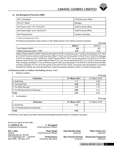

 $(\bar{z}$  in Lac)

#### **(c) Key Management Personnel (KMP)**

| Shri C.Venugopal                                  | <b>Chief Executive Officer</b> |
|---------------------------------------------------|--------------------------------|
| Shri N.C. Baheti                                  | Manager                        |
| Shri Gauray Jain^ (Till 27.03.2017)               | <b>Chief Financial Officer</b> |
| Shri Diwan Singh <sup>^</sup> (w.e.f.-28.03.2017) | <b>Chief Financial Officer</b> |
| Shri Pankaj Kamra^                                | <b>Company Secretary</b>       |

*^ In view of Companies Act, 2013*

The following transactions were carried out with related parties in the ordinary course of business:

|                               |         | 11 III Lavi |
|-------------------------------|---------|-------------|
|                               | 2016-17 | 2015-16     |
| Loan Repaid to BACL           | Nil     | 100         |
| Medical Expenses paid to PSRI | 0.41    | 0.04        |

Details of Remuneration to KMP: Chief Executive Officer ₹ 78.63 Lac (previous year- ₹ 15.56 Lac for the period 18.01.2016 to 31.03.2016 and to another Chief Executive Officer  $\bar{\tau}$  30.43 Lac for the period 01.04.2015 to 07.08.2015), Manager ` 34.93 Lac (previous year- ` 29.92 lac), Chief Financial Officer ` 18.61 Lac for the period 01.04.2016 to 27.03.2017 (Previous year ₹16.22 Lac), Chief Financial Officer ₹0.31 Lac for the period 28.03.2017 to 31.03.2017 (Previous year ` Nil), Company Secretary ` 7.43 Lac (Previous year ` 0.96 Lac for the period 11.02.2016 to 31.03.2016 and to another Company Secretary  $\bar{\tau}$  5.74 Lac for the period 01.04.2015 to 30.01.2016). The above said remuneration is excluding provision for Gratuity and Leave Encashment, where the actuarial valuation is done on overall Company basis.

#### **2.40Amount paid to Auditors (Including Service Tax) :-**

i) Statutory Auditors:

| <b>Particulars</b>               | 31 <sup>st</sup> March, 2017 | 31 <sup>st</sup> March, 2016 |
|----------------------------------|------------------------------|------------------------------|
| a. Audit Fees                    | 3.11                         | 3.09                         |
| b. Tax Audit Fees                | 0.46                         | 0.46                         |
| c. For Other Services            | 1.15                         | 1.15                         |
| d. For Reimbursement of Expenses | 0.09                         | 0.14                         |
| <b>Total</b>                     | 4.81                         | 4.84                         |

ii) Cost Auditors:

| <b>Particulars</b>               | 31 <sup>st</sup> March, 2017 | 31 <sup>st</sup> March, 2016 |
|----------------------------------|------------------------------|------------------------------|
| I a. Audit Fees                  | 0.40                         |                              |
| b. For Reimbursement of Expenses |                              |                              |
| Total                            | 0.40                         |                              |

**2.41**Previous year figures have been regrouped/rearranged/recasted wherever considered necessary.

| C. Venugopal<br>(Chief Executive Officer) |                                          |                                       |
|-------------------------------------------|------------------------------------------|---------------------------------------|
| Diwan Singh<br>(Chief Financial Officer)  | Desh Bandhu Doda<br>(Director)           | <b>Ratan Chand Jain</b><br>(Director) |
| Pankaj Kamra<br>(Company Secretary)       | <b>Ram Chandra Periwal</b><br>(Director) | Sharda Devi Singhania<br>(Director)   |
|                                           |                                          |                                       |

**(**` **In Lac)**

 $(7 \ln \ln \sec)$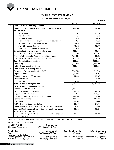

## **CASH FLOW STATEMENt**

#### **For the Year Ended 31st March,2017**

**(**` **in Lac)**

|    |                                                                | 2016-17  | 2015-16    |
|----|----------------------------------------------------------------|----------|------------|
| А. | <b>Cash Flow from Operating Activities</b>                     |          |            |
|    | Net Profit (+)/Loss(-) before taxation and extraordinary items | 255.66   | 1152.43    |
|    | Adjustments for:                                               |          |            |
|    | Depreciation                                                   | 315.62   | 301.28     |
|    | Interest income                                                | (5.26)   | (14.37)    |
|    | Dividend received                                              | (1.18)   | (16.20)    |
|    | Excess Provision of earlier years no longer required (net)     | (15.18)  | (8.98)     |
|    | Balances Written back/Written off (Net)                        | (24.73)  | (3.94)     |
|    | Interest & Finance Charges                                     | 116.02   | 62.37      |
|    | (Profit)/loss on sale of Fixed Assets (net)                    | (11.95)  | (7.05)     |
|    | Operating Profit before working capital changes                | 629.00   | 1465.54    |
|    | (Increase)/ Decrease in Inventories                            | (444.57) | 823.94     |
|    | (Increase) / Decrease in Trade and other Receivables           | (264.32) | 156.53     |
|    | Increase/ (Decrease) in Trade and Other Payables               | 1032.15  | (389.92)   |
|    | Cash Generated from Operations                                 | 952.26   | 2,056.09   |
|    | Direct Tax paid                                                | (228.82) | (555.18)   |
|    | Net Cash from operating activities                             | 723.44   | 1,500.91   |
| В. | <b>Cash Flow from Investing Activities</b>                     |          |            |
|    | Purchase of Fixed Assets including CWIP                        | (742.01) | (1,714.31) |
|    | Capital Advances                                               | (27.18)  | 118.96     |
|    | Proceeds from sale of Fixed Assets                             | 37.26    | 38.87      |
|    | Dividend received                                              | 1.18     | 16.20      |
|    | Interest Received                                              | 4.93     | 14.22      |
|    | Net Cash from Investing activities                             | (725.82) | (1,526.06) |
| C. | <b>Cash Flow from Financing Activities</b>                     |          |            |
|    | Redemption of Pref. Share                                      | (208.00) |            |
|    | Dividend Paid (Including Dividend Tax)                         | (255.36) | (254.89)   |
|    | Repayment of Borrowings                                        | (514.12) | (372.60)   |
|    | Proceeds/(Repayment) of Short term borrowings                  | 960.35   | (279.12)   |
|    | Long term borrowings                                           | 232.71   | 1,052.68   |
|    | Interest paid                                                  | (194.62) | (124.22)   |
|    | Net Cash used in financing activities                          | 20.96    | 21.85      |
|    | Net Increase/(Decrease) in cash and cash equivalents (A+B+C)   | 18.58    | (3.29)     |
|    | Cash and Cash equivalents being Cash and Bank balances as      | 65.92    | 69.21      |
|    | at the beginning of the year                                   |          |            |
|    | Cash and Cash equivalents being Cash and Bank balances as      | 84.50    | 65.92      |
|    | at the end of the year                                         |          |            |

Note: Previous year's figures have been regrouped / rearranged / recasted wherever necessary.

As per our report of even date.

for **LODHA & CO. C. Venugopal**

*(Chief Executive Officer)* 

N.K. Lodha **N.K. Lodha Diwan Singh Desh Bandhu Doda Ratan Chand Jain**<br>Partner **Director** (Chief Financial Officer) **Director** (Director) *(Director*) *(Director*) (Membership No. 85155)<br>Firm Registration No. – 301051E **Pankaj Kamra** Firm Registration No. – 301051E **Pankaj Kamra Ram Chandra Periwal Sharda Devi Singhania** New Delhi : 26th May, 2017 *(Company Secretary) (Director) (Director)*

*(Chief Financial Officer)*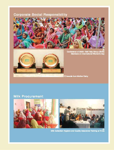# **Corporate Social Responsibility**





Conference of 2000+ Self Help Group (SHG)<br>Members on International Women's Day

Awards from Mother Dairy

# **Milk Procurement**



Milk Collection Hygiens and Quality Assurance Training at VLOs